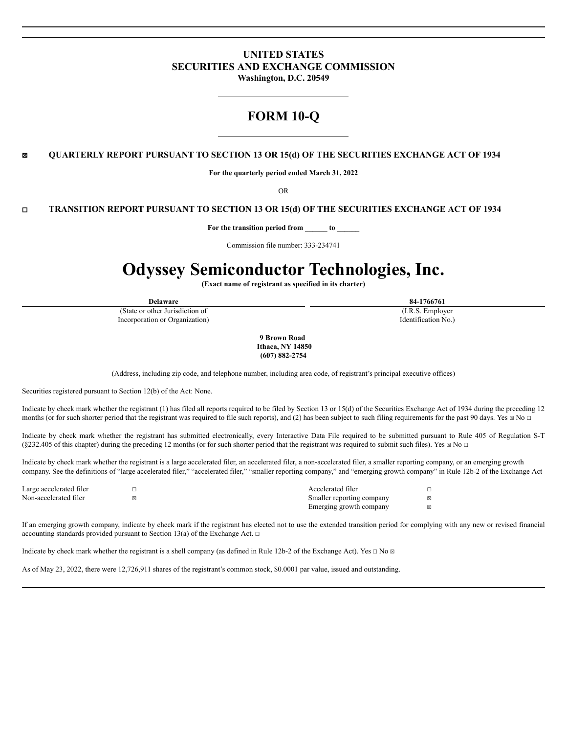## **UNITED STATES SECURITIES AND EXCHANGE COMMISSION**

**Washington, D.C. 20549**

# **FORM 10-Q**

## ☒ **QUARTERLY REPORT PURSUANT TO SECTION 13 OR 15(d) OF THE SECURITIES EXCHANGE ACT OF 1934**

**For the quarterly period ended March 31, 2022**

OR

## ☐ **TRANSITION REPORT PURSUANT TO SECTION 13 OR 15(d) OF THE SECURITIES EXCHANGE ACT OF 1934**

**For the transition period from \_\_\_\_\_\_ to \_\_\_\_\_\_**

Commission file number: 333-234741

# **Odyssey Semiconductor Technologies, Inc.**

**(Exact name of registrant as specified in its charter)**

| <b>Delaware</b> |
|-----------------|
|-----------------|

(State or other Jurisdiction of Incorporation or Organization)

**Delaware 84-1766761** (I.R.S. Employer

Identification No.)

**9 Brown Road Ithaca, NY 14850 (607) 882-2754**

(Address, including zip code, and telephone number, including area code, of registrant's principal executive offices)

Securities registered pursuant to Section 12(b) of the Act: None.

Indicate by check mark whether the registrant (1) has filed all reports required to be filed by Section 13 or 15(d) of the Securities Exchange Act of 1934 during the preceding 12 months (or for such shorter period that the registrant was required to file such reports), and (2) has been subject to such filing requirements for the past 90 days. Yes  $\boxtimes$  No  $\Box$ 

Indicate by check mark whether the registrant has submitted electronically, every Interactive Data File required to be submitted pursuant to Rule 405 of Regulation S-T (§232.405 of this chapter) during the preceding 12 months (or for such shorter period that the registrant was required to submit such files). Yes ⊠ No  $\Box$ 

Indicate by check mark whether the registrant is a large accelerated filer, an accelerated filer, a non-accelerated filer, a smaller reporting company, or an emerging growth company. See the definitions of "large accelerated filer," "accelerated filer," "smaller reporting company," and "emerging growth company" in Rule 12b-2 of the Exchange Act

| Large accelerated filer |   | Accelerated filer         |   |
|-------------------------|---|---------------------------|---|
| Non-accelerated filer   | 冈 | Smaller reporting company | 冈 |
|                         |   | Emerging growth company   | 冈 |

If an emerging growth company, indicate by check mark if the registrant has elected not to use the extended transition period for complying with any new or revised financial accounting standards provided pursuant to Section 13(a) of the Exchange Act.  $\Box$ 

Indicate by check mark whether the registrant is a shell company (as defined in Rule 12b-2 of the Exchange Act). Yes  $\Box$  No  $\Box$ 

As of May 23, 2022, there were 12,726,911 shares of the registrant's common stock, \$0.0001 par value, issued and outstanding.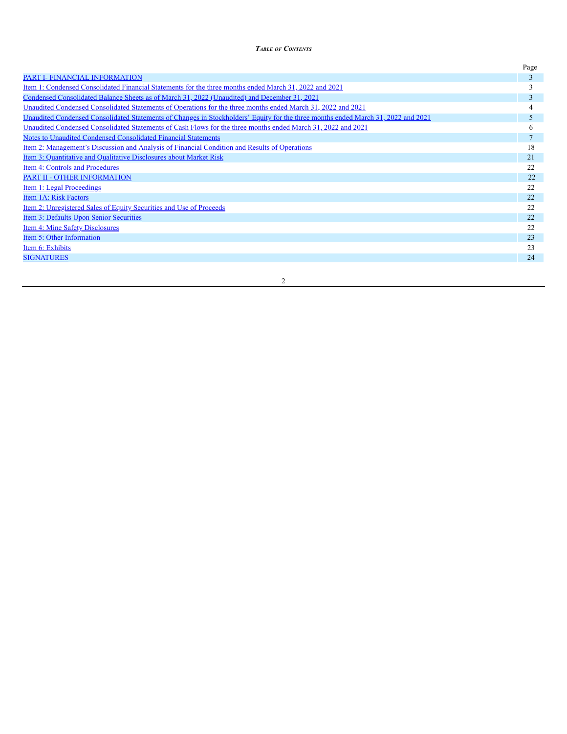## *TABLE OF CONTENTS*

|                                                                                                                                   | Page |
|-----------------------------------------------------------------------------------------------------------------------------------|------|
| <b>PART I- FINANCIAL INFORMATION</b>                                                                                              | 3    |
| Item 1: Condensed Consolidated Financial Statements for the three months ended March 31, 2022 and 2021                            | 3    |
| Condensed Consolidated Balance Sheets as of March 31, 2022 (Unaudited) and December 31, 2021                                      | 3    |
| Unaudited Condensed Consolidated Statements of Operations for the three months ended March 31, 2022 and 2021                      | 4    |
| Unaudited Condensed Consolidated Statements of Changes in Stockholders' Equity for the three months ended March 31, 2022 and 2021 | 5    |
| Unaudited Condensed Consolidated Statements of Cash Flows for the three months ended March 31, 2022 and 2021                      | b    |
| <b>Notes to Unaudited Condensed Consolidated Financial Statements</b>                                                             |      |
| <u>Item 2: Management's Discussion and Analysis of Financial Condition and Results of Operations</u>                              | 18   |
| Item 3: Quantitative and Qualitative Disclosures about Market Risk                                                                | 21   |
| Item 4: Controls and Procedures                                                                                                   | 22   |
| <b>PART II - OTHER INFORMATION</b>                                                                                                | 22   |
| <u>Item 1: Legal Proceedings</u>                                                                                                  | 22   |
| Item 1A: Risk Factors                                                                                                             | 22   |
| Item 2: Unregistered Sales of Equity Securities and Use of Proceeds                                                               | 22   |
| Item 3: Defaults Upon Senior Securities                                                                                           | 22   |
| <b>Item 4: Mine Safety Disclosures</b>                                                                                            | 22   |
| Item 5: Other Information                                                                                                         | 23   |
| Item 6: Exhibits                                                                                                                  | 23   |
| <b>SIGNATURES</b>                                                                                                                 | 24   |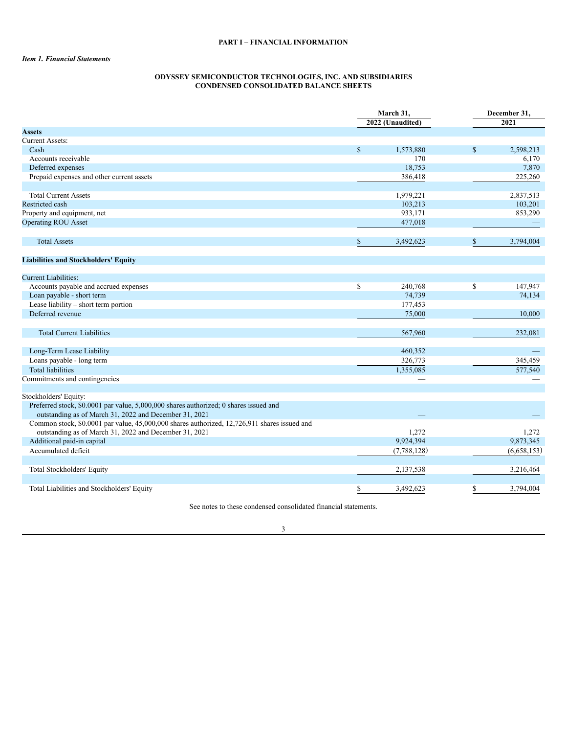## <span id="page-2-1"></span><span id="page-2-0"></span>*Item 1. Financial Statements*

## **ODYSSEY SEMICONDUCTOR TECHNOLOGIES, INC. AND SUBSIDIARIES CONDENSED CONSOLIDATED BALANCE SHEETS**

<span id="page-2-2"></span>

|                                                                                                                                                        | March 31,     |             | 2022 (Unaudited) |             |  | December 31,<br>2021 |  |
|--------------------------------------------------------------------------------------------------------------------------------------------------------|---------------|-------------|------------------|-------------|--|----------------------|--|
| <b>Assets</b>                                                                                                                                          |               |             |                  |             |  |                      |  |
| <b>Current Assets:</b>                                                                                                                                 |               |             |                  |             |  |                      |  |
| Cash                                                                                                                                                   | $\mathsf{\$}$ | 1,573,880   | $\mathcal{S}$    | 2,598,213   |  |                      |  |
| Accounts receivable                                                                                                                                    |               | 170         |                  | 6,170       |  |                      |  |
| Deferred expenses                                                                                                                                      |               | 18,753      |                  | 7,870       |  |                      |  |
| Prepaid expenses and other current assets                                                                                                              |               | 386,418     |                  | 225,260     |  |                      |  |
| <b>Total Current Assets</b>                                                                                                                            |               | 1,979,221   |                  | 2,837,513   |  |                      |  |
| Restricted cash                                                                                                                                        |               | 103,213     |                  | 103,201     |  |                      |  |
| Property and equipment, net                                                                                                                            |               | 933,171     |                  | 853,290     |  |                      |  |
| <b>Operating ROU Asset</b>                                                                                                                             |               | 477,018     |                  |             |  |                      |  |
| <b>Total Assets</b>                                                                                                                                    | \$            | 3,492,623   | \$               | 3,794,004   |  |                      |  |
| <b>Liabilities and Stockholders' Equity</b>                                                                                                            |               |             |                  |             |  |                      |  |
| <b>Current Liabilities:</b>                                                                                                                            |               |             |                  |             |  |                      |  |
| Accounts payable and accrued expenses                                                                                                                  | \$            | 240,768     | \$               | 147,947     |  |                      |  |
| Loan payable - short term                                                                                                                              |               | 74,739      |                  | 74,134      |  |                      |  |
| Lease liability - short term portion                                                                                                                   |               | 177,453     |                  |             |  |                      |  |
| Deferred revenue                                                                                                                                       |               | 75,000      |                  | 10,000      |  |                      |  |
| <b>Total Current Liabilities</b>                                                                                                                       |               | 567,960     |                  | 232,081     |  |                      |  |
| Long-Term Lease Liability                                                                                                                              |               | 460,352     |                  |             |  |                      |  |
| Loans payable - long term                                                                                                                              |               | 326,773     |                  | 345,459     |  |                      |  |
| <b>Total liabilities</b>                                                                                                                               |               | 1,355,085   |                  | 577,540     |  |                      |  |
| Commitments and contingencies                                                                                                                          |               |             |                  |             |  |                      |  |
| Stockholders' Equity:                                                                                                                                  |               |             |                  |             |  |                      |  |
| Preferred stock, \$0.0001 par value, 5,000,000 shares authorized; 0 shares issued and<br>outstanding as of March 31, 2022 and December 31, 2021        |               |             |                  |             |  |                      |  |
| Common stock, \$0.0001 par value, 45,000,000 shares authorized, 12,726,911 shares issued and<br>outstanding as of March 31, 2022 and December 31, 2021 |               | 1,272       |                  | 1,272       |  |                      |  |
| Additional paid-in capital                                                                                                                             |               | 9,924,394   |                  | 9,873,345   |  |                      |  |
| Accumulated deficit                                                                                                                                    |               | (7,788,128) |                  | (6,658,153) |  |                      |  |
| Total Stockholders' Equity                                                                                                                             |               | 2,137,538   |                  | 3,216,464   |  |                      |  |
| Total Liabilities and Stockholders' Equity                                                                                                             | \$            | 3,492,623   | \$               | 3,794,004   |  |                      |  |

See notes to these condensed consolidated financial statements.

## 3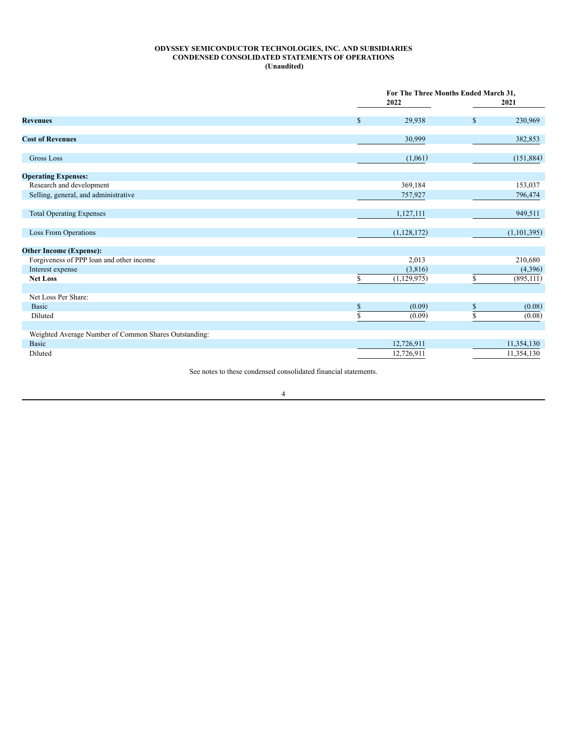## **ODYSSEY SEMICONDUCTOR TECHNOLOGIES, INC. AND SUBSIDIARIES CONDENSED CONSOLIDATED STATEMENTS OF OPERATIONS (Unaudited)**

<span id="page-3-0"></span>

|                                                       |      | For The Three Months Ended March 31, |               |             |
|-------------------------------------------------------|------|--------------------------------------|---------------|-------------|
|                                                       | 2022 |                                      | 2021          |             |
| <b>Revenues</b>                                       | \$   | 29,938                               | \$            | 230,969     |
| <b>Cost of Revenues</b>                               |      | 30,999                               |               | 382,853     |
| <b>Gross Loss</b>                                     |      | (1,061)                              |               | (151, 884)  |
| <b>Operating Expenses:</b>                            |      |                                      |               |             |
| Research and development                              |      | 369,184                              |               | 153,037     |
| Selling, general, and administrative                  |      | 757,927                              |               | 796,474     |
| <b>Total Operating Expenses</b>                       |      | 1,127,111                            |               | 949,511     |
| Loss From Operations                                  |      | (1,128,172)                          |               | (1,101,395) |
| <b>Other Income (Expense):</b>                        |      |                                      |               |             |
| Forgiveness of PPP loan and other income              |      | 2,013                                |               | 210,680     |
| Interest expense                                      |      | (3,816)                              |               | (4,396)     |
| <b>Net Loss</b>                                       | \$   | (1, 129, 975)                        | \$            | (895,111)   |
| Net Loss Per Share:                                   |      |                                      |               |             |
| <b>Basic</b>                                          | \$   | (0.09)                               | \$            | (0.08)      |
| Diluted                                               | \$   | (0.09)                               | <sup>\$</sup> | (0.08)      |
| Weighted Average Number of Common Shares Outstanding: |      |                                      |               |             |
| <b>Basic</b>                                          |      | 12,726,911                           |               | 11,354,130  |
| Diluted                                               |      | 12,726,911                           |               | 11,354,130  |

See notes to these condensed consolidated financial statements.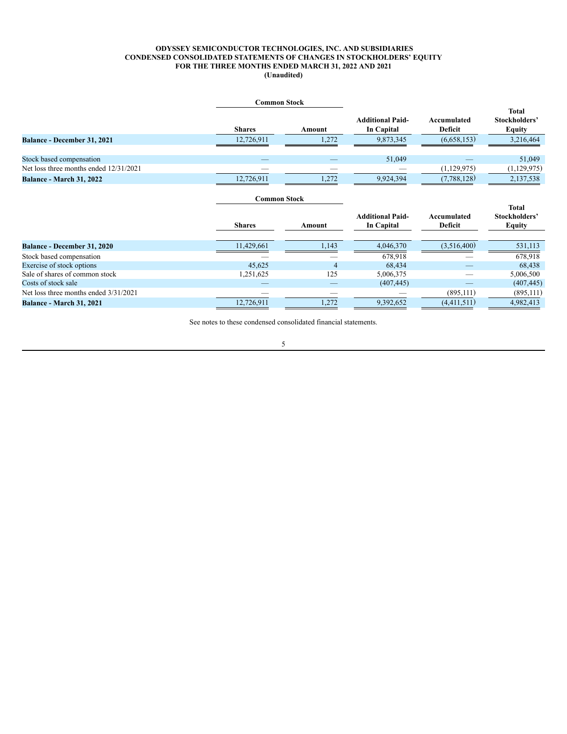## **ODYSSEY SEMICONDUCTOR TECHNOLOGIES, INC. AND SUBSIDIARIES CONDENSED CONSOLIDATED STATEMENTS OF CHANGES IN STOCKHOLDERS' EQUITY FOR THE THREE MONTHS ENDED MARCH 31, 2022 AND 2021 (Unaudited)**

<span id="page-4-0"></span>

|                                        | <b>Common Stock</b> |        |                                       |                               |                                                |
|----------------------------------------|---------------------|--------|---------------------------------------|-------------------------------|------------------------------------------------|
|                                        | <b>Shares</b>       | Amount | <b>Additional Paid-</b><br>In Capital | Accumulated<br><b>Deficit</b> | <b>Total</b><br>Stockholders'<br>Equity        |
| <b>Balance - December 31, 2021</b>     | 12,726,911          | 1,272  | 9,873,345                             | (6,658,153)                   | 3,216,464                                      |
| Stock based compensation               |                     |        | 51,049                                |                               | 51,049                                         |
| Net loss three months ended 12/31/2021 |                     |        |                                       | (1,129,975)                   | (1,129,975)                                    |
| <b>Balance - March 31, 2022</b>        | 12,726,911          | 1,272  | 9,924,394                             | (7,788,128)                   | 2,137,538                                      |
|                                        | <b>Common Stock</b> |        |                                       |                               |                                                |
|                                        | <b>Shares</b>       | Amount | <b>Additional Paid-</b><br>In Capital | Accumulated<br>Deficit        | <b>Total</b><br>Stockholders'<br><b>Equity</b> |
| <b>Balance - December 31, 2020</b>     | 11,429,661          | 1,143  | 4,046,370                             | (3,516,400)                   | 531,113                                        |
| Stock based compensation               |                     |        | 678,918                               |                               | 678,918                                        |
| Exercise of stock options              | 45,625              | 4      | 68,434                                |                               | 68,438                                         |
| Sale of shares of common stock         | 1,251,625           | 125    | 5,006,375                             |                               | 5,006,500                                      |
| Costs of stock sale                    |                     |        | (407, 445)                            |                               | (407, 445)                                     |
| Net loss three months ended 3/31/2021  |                     |        |                                       | (895, 111)                    | (895, 111)                                     |
| <b>Balance - March 31, 2021</b>        | 12,726,911          | 1,272  | 9,392,652                             | (4,411,511)                   | 4,982,413                                      |

See notes to these condensed consolidated financial statements.

5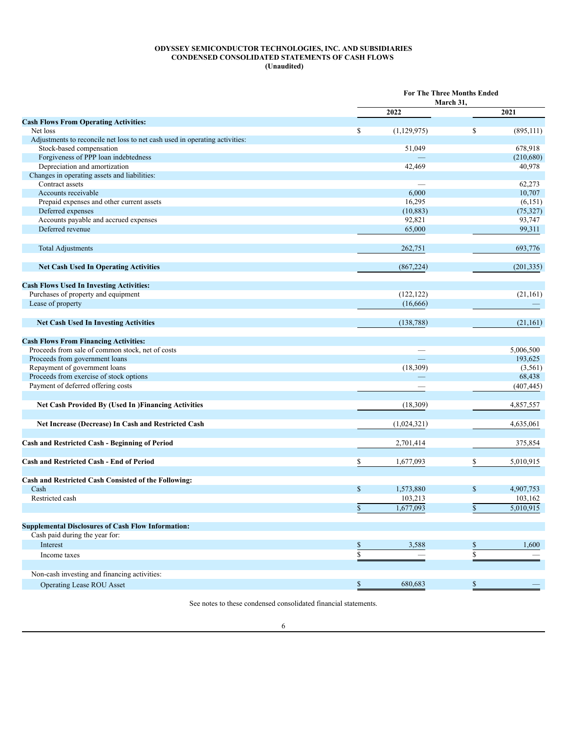## **ODYSSEY SEMICONDUCTOR TECHNOLOGIES, INC. AND SUBSIDIARIES CONDENSED CONSOLIDATED STATEMENTS OF CASH FLOWS (Unaudited)**

<span id="page-5-0"></span>

|                                                                             |                 | <b>For The Three Months Ended</b><br>March 31, |              |            |
|-----------------------------------------------------------------------------|-----------------|------------------------------------------------|--------------|------------|
|                                                                             |                 | 2022                                           |              | 2021       |
| <b>Cash Flows From Operating Activities:</b>                                |                 |                                                |              |            |
| Net loss                                                                    | \$              | (1,129,975)                                    | \$           | (895, 111) |
| Adjustments to reconcile net loss to net cash used in operating activities: |                 |                                                |              |            |
| Stock-based compensation                                                    |                 | 51,049                                         |              | 678,918    |
| Forgiveness of PPP loan indebtedness                                        |                 |                                                |              | (210,680)  |
| Depreciation and amortization                                               |                 | 42,469                                         |              | 40,978     |
| Changes in operating assets and liabilities:                                |                 |                                                |              |            |
| Contract assets                                                             |                 |                                                |              | 62,273     |
| Accounts receivable                                                         |                 | 6,000                                          |              | 10,707     |
| Prepaid expenses and other current assets                                   |                 | 16,295                                         |              | (6, 151)   |
| Deferred expenses                                                           |                 | (10, 883)                                      |              | (75, 327)  |
| Accounts payable and accrued expenses                                       |                 | 92,821                                         |              | 93,747     |
| Deferred revenue                                                            |                 | 65,000                                         |              | 99,311     |
| <b>Total Adjustments</b>                                                    |                 | 262,751                                        |              | 693,776    |
| <b>Net Cash Used In Operating Activities</b>                                |                 | (867, 224)                                     |              | (201, 335) |
| <b>Cash Flows Used In Investing Activities:</b>                             |                 |                                                |              |            |
| Purchases of property and equipment                                         |                 | (122, 122)                                     |              | (21,161)   |
| Lease of property                                                           |                 | (16,666)                                       |              |            |
|                                                                             |                 |                                                |              |            |
| <b>Net Cash Used In Investing Activities</b>                                |                 | (138, 788)                                     |              | (21, 161)  |
| <b>Cash Flows From Financing Activities:</b>                                |                 |                                                |              |            |
| Proceeds from sale of common stock, net of costs                            |                 |                                                |              | 5,006,500  |
| Proceeds from government loans                                              |                 |                                                |              | 193,625    |
| Repayment of government loans                                               |                 | (18,309)                                       |              | (3, 561)   |
| Proceeds from exercise of stock options                                     |                 |                                                |              | 68,438     |
| Payment of deferred offering costs                                          |                 |                                                |              | (407, 445) |
| <b>Net Cash Provided By (Used In )Financing Activities</b>                  |                 | (18,309)                                       |              | 4,857,557  |
| Net Increase (Decrease) In Cash and Restricted Cash                         |                 | (1,024,321)                                    |              | 4,635,061  |
| Cash and Restricted Cash - Beginning of Period                              |                 | 2,701,414                                      |              | 375,854    |
|                                                                             |                 |                                                |              |            |
| Cash and Restricted Cash - End of Period                                    | \$              | 1,677,093                                      | \$           | 5,010,915  |
| Cash and Restricted Cash Consisted of the Following:                        |                 |                                                |              |            |
| Cash                                                                        | \$              | 1,573,880                                      | \$           | 4,907,753  |
| Restricted cash                                                             |                 | 103,213                                        |              | 103,162    |
|                                                                             | \$              | 1,677,093                                      | \$           | 5,010,915  |
| <b>Supplemental Disclosures of Cash Flow Information:</b>                   |                 |                                                |              |            |
| Cash paid during the year for:                                              |                 |                                                |              |            |
| Interest                                                                    | \$              | 3,588                                          | \$           | 1,600      |
| Income taxes                                                                | $\overline{\$}$ |                                                | \$           |            |
|                                                                             |                 |                                                |              |            |
| Non-cash investing and financing activities:                                |                 |                                                |              |            |
| Operating Lease ROU Asset                                                   | $\mathbb{S}$    | 680,683                                        | $\mathbb{S}$ |            |

See notes to these condensed consolidated financial statements.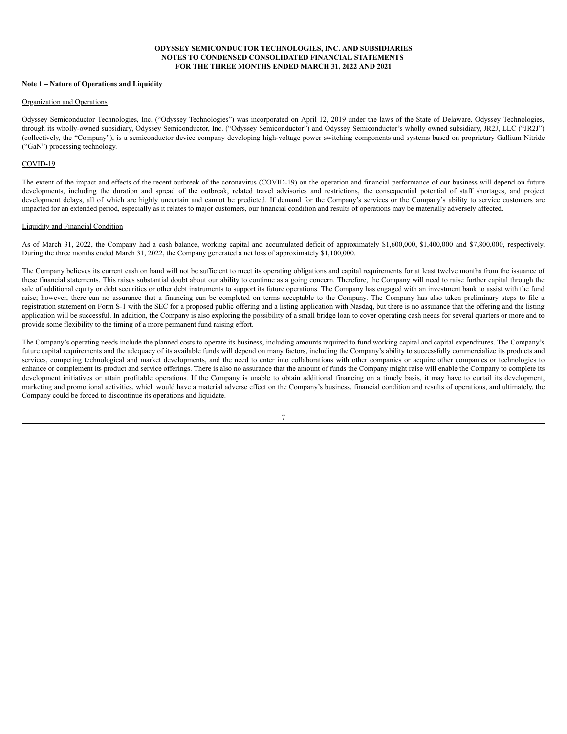## **ODYSSEY SEMICONDUCTOR TECHNOLOGIES, INC. AND SUBSIDIARIES NOTES TO CONDENSED CONSOLIDATED FINANCIAL STATEMENTS FOR THE THREE MONTHS ENDED MARCH 31, 2022 AND 2021**

## <span id="page-6-0"></span>**Note 1 – Nature of Operations and Liquidity**

## Organization and Operations

Odyssey Semiconductor Technologies, Inc. ("Odyssey Technologies") was incorporated on April 12, 2019 under the laws of the State of Delaware. Odyssey Technologies, through its wholly-owned subsidiary, Odyssey Semiconductor, Inc. ("Odyssey Semiconductor") and Odyssey Semiconductor's wholly owned subsidiary, JR2J, LLC ("JR2J") (collectively, the "Company"), is a semiconductor device company developing high-voltage power switching components and systems based on proprietary Gallium Nitride ("GaN") processing technology.

## COVID-19

The extent of the impact and effects of the recent outbreak of the coronavirus (COVID-19) on the operation and financial performance of our business will depend on future developments, including the duration and spread of the outbreak, related travel advisories and restrictions, the consequential potential of staff shortages, and project development delays, all of which are highly uncertain and cannot be predicted. If demand for the Company's services or the Company's ability to service customers are impacted for an extended period, especially as it relates to major customers, our financial condition and results of operations may be materially adversely affected.

#### Liquidity and Financial Condition

As of March 31, 2022, the Company had a cash balance, working capital and accumulated deficit of approximately \$1,600,000, \$1,400,000 and \$7,800,000, respectively. During the three months ended March 31, 2022, the Company generated a net loss of approximately \$1,100,000.

The Company believes its current cash on hand will not be sufficient to meet its operating obligations and capital requirements for at least twelve months from the issuance of these financial statements. This raises substantial doubt about our ability to continue as a going concern. Therefore, the Company will need to raise further capital through the sale of additional equity or debt securities or other debt instruments to support its future operations. The Company has engaged with an investment bank to assist with the fund raise; however, there can no assurance that a financing can be completed on terms acceptable to the Company. The Company has also taken preliminary steps to file a registration statement on Form S-1 with the SEC for a proposed public offering and a listing application with Nasdaq, but there is no assurance that the offering and the listing application will be successful. In addition, the Company is also exploring the possibility of a small bridge loan to cover operating cash needs for several quarters or more and to provide some flexibility to the timing of a more permanent fund raising effort.

The Company's operating needs include the planned costs to operate its business, including amounts required to fund working capital and capital expenditures. The Company's future capital requirements and the adequacy of its available funds will depend on many factors, including the Company's ability to successfully commercialize its products and services, competing technological and market developments, and the need to enter into collaborations with other companies or acquire other companies or technologies to enhance or complement its product and service offerings. There is also no assurance that the amount of funds the Company might raise will enable the Company to complete its development initiatives or attain profitable operations. If the Company is unable to obtain additional financing on a timely basis, it may have to curtail its development, marketing and promotional activities, which would have a material adverse effect on the Company's business, financial condition and results of operations, and ultimately, the Company could be forced to discontinue its operations and liquidate.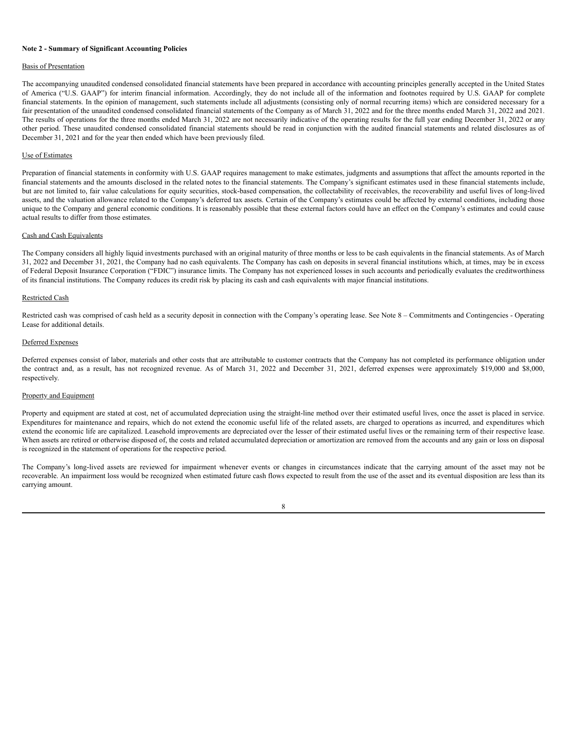#### **Note 2 - Summary of Significant Accounting Policies**

## Basis of Presentation

The accompanying unaudited condensed consolidated financial statements have been prepared in accordance with accounting principles generally accepted in the United States of America ("U.S. GAAP") for interim financial information. Accordingly, they do not include all of the information and footnotes required by U.S. GAAP for complete financial statements. In the opinion of management, such statements include all adjustments (consisting only of normal recurring items) which are considered necessary for a fair presentation of the unaudited condensed consolidated financial statements of the Company as of March 31, 2022 and for the three months ended March 31, 2022 and 2021. The results of operations for the three months ended March 31, 2022 are not necessarily indicative of the operating results for the full year ending December 31, 2022 or any other period. These unaudited condensed consolidated financial statements should be read in conjunction with the audited financial statements and related disclosures as of December 31, 2021 and for the year then ended which have been previously filed.

## Use of Estimates

Preparation of financial statements in conformity with U.S. GAAP requires management to make estimates, judgments and assumptions that affect the amounts reported in the financial statements and the amounts disclosed in the related notes to the financial statements. The Company's significant estimates used in these financial statements include, but are not limited to, fair value calculations for equity securities, stock-based compensation, the collectability of receivables, the recoverability and useful lives of long-lived assets, and the valuation allowance related to the Company's deferred tax assets. Certain of the Company's estimates could be affected by external conditions, including those unique to the Company and general economic conditions. It is reasonably possible that these external factors could have an effect on the Company's estimates and could cause actual results to differ from those estimates.

## Cash and Cash Equivalents

The Company considers all highly liquid investments purchased with an original maturity of three months or less to be cash equivalents in the financial statements. As of March 31, 2022 and December 31, 2021, the Company had no cash equivalents. The Company has cash on deposits in several financial institutions which, at times, may be in excess of Federal Deposit Insurance Corporation ("FDIC") insurance limits. The Company has not experienced losses in such accounts and periodically evaluates the creditworthiness of its financial institutions. The Company reduces its credit risk by placing its cash and cash equivalents with major financial institutions.

## Restricted Cash

Restricted cash was comprised of cash held as a security deposit in connection with the Company's operating lease. See Note 8 – Commitments and Contingencies - Operating Lease for additional details.

## Deferred Expenses

Deferred expenses consist of labor, materials and other costs that are attributable to customer contracts that the Company has not completed its performance obligation under the contract and, as a result, has not recognized revenue. As of March 31, 2022 and December 31, 2021, deferred expenses were approximately \$19,000 and \$8,000, respectively.

## Property and Equipment

Property and equipment are stated at cost, net of accumulated depreciation using the straight-line method over their estimated useful lives, once the asset is placed in service. Expenditures for maintenance and repairs, which do not extend the economic useful life of the related assets, are charged to operations as incurred, and expenditures which extend the economic life are capitalized. Leasehold improvements are depreciated over the lesser of their estimated useful lives or the remaining term of their respective lease. When assets are retired or otherwise disposed of, the costs and related accumulated depreciation or amortization are removed from the accounts and any gain or loss on disposal is recognized in the statement of operations for the respective period.

The Company's long-lived assets are reviewed for impairment whenever events or changes in circumstances indicate that the carrying amount of the asset may not be recoverable. An impairment loss would be recognized when estimated future cash flows expected to result from the use of the asset and its eventual disposition are less than its carrying amount.

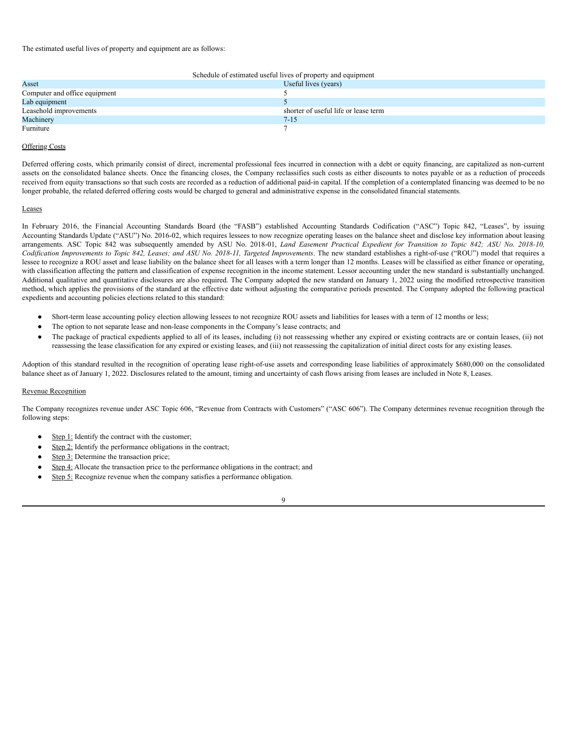The estimated useful lives of property and equipment are as follows:

| Schedule of estimated useful lives of property and equipment |                                      |  |  |  |
|--------------------------------------------------------------|--------------------------------------|--|--|--|
| Asset                                                        | Useful lives (years)                 |  |  |  |
| Computer and office equipment                                |                                      |  |  |  |
| Lab equipment                                                |                                      |  |  |  |
| Leasehold improvements                                       | shorter of useful life or lease term |  |  |  |
| Machinery                                                    | 7-15                                 |  |  |  |
| Furniture                                                    |                                      |  |  |  |

## Offering Costs

Deferred offering costs, which primarily consist of direct, incremental professional fees incurred in connection with a debt or equity financing, are capitalized as non-current assets on the consolidated balance sheets. Once the financing closes, the Company reclassifies such costs as either discounts to notes payable or as a reduction of proceeds received from equity transactions so that such costs are recorded as a reduction of additional paid-in capital. If the completion of a contemplated financing was deemed to be no longer probable, the related deferred offering costs would be charged to general and administrative expense in the consolidated financial statements.

## Leases

In February 2016, the Financial Accounting Standards Board (the "FASB") established Accounting Standards Codification ("ASC") Topic 842, "Leases", by issuing Accounting Standards Update ("ASU") No. 2016-02, which requires lessees to now recognize operating leases on the balance sheet and disclose key information about leasing arrangements. ASC Topic 842 was subsequently amended by ASU No. 2018-01, Land Easement Practical Expedient for Transition to Topic 842; ASU No. 2018-10, Codification Improvements to Topic 842, Leases; and ASU No. 2018-11, Targeted Improvements. The new standard establishes a right-of-use ("ROU") model that requires a lessee to recognize a ROU asset and lease liability on the balance sheet for all leases with a term longer than 12 months. Leases will be classified as either finance or operating, with classification affecting the pattern and classification of expense recognition in the income statement. Lessor accounting under the new standard is substantially unchanged. Additional qualitative and quantitative disclosures are also required. The Company adopted the new standard on January 1, 2022 using the modified retrospective transition method, which applies the provisions of the standard at the effective date without adjusting the comparative periods presented. The Company adopted the following practical expedients and accounting policies elections related to this standard:

- Short-term lease accounting policy election allowing lessees to not recognize ROU assets and liabilities for leases with a term of 12 months or less;
- The option to not separate lease and non-lease components in the Company's lease contracts; and
- The package of practical expedients applied to all of its leases, including (i) not reassessing whether any expired or existing contracts are or contain leases, (ii) not reassessing the lease classification for any expired or existing leases, and (iii) not reassessing the capitalization of initial direct costs for any existing leases.

Adoption of this standard resulted in the recognition of operating lease right-of-use assets and corresponding lease liabilities of approximately \$680,000 on the consolidated balance sheet as of January 1, 2022. Disclosures related to the amount, timing and uncertainty of cash flows arising from leases are included in Note 8, Leases.

## Revenue Recognition

The Company recognizes revenue under ASC Topic 606, "Revenue from Contracts with Customers" ("ASC 606"). The Company determines revenue recognition through the following steps:

- $\bullet$  Step 1: Identify the contract with the customer;
- Step 2: Identify the performance obligations in the contract;
- Step 3: Determine the transaction price;
- Step 4: Allocate the transaction price to the performance obligations in the contract; and
- Step 5: Recognize revenue when the company satisfies a performance obligation.

 $\mathbf Q$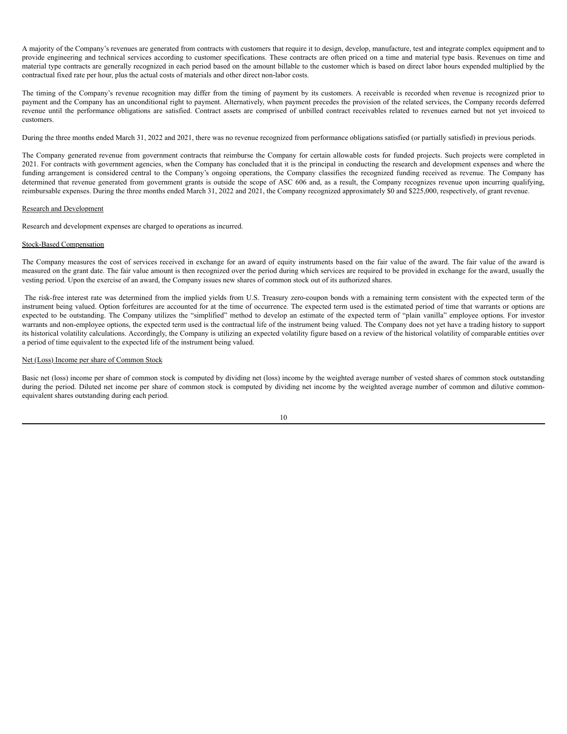A majority of the Company's revenues are generated from contracts with customers that require it to design, develop, manufacture, test and integrate complex equipment and to provide engineering and technical services according to customer specifications. These contracts are often priced on a time and material type basis. Revenues on time and material type contracts are generally recognized in each period based on the amount billable to the customer which is based on direct labor hours expended multiplied by the contractual fixed rate per hour, plus the actual costs of materials and other direct non-labor costs.

The timing of the Company's revenue recognition may differ from the timing of payment by its customers. A receivable is recorded when revenue is recognized prior to payment and the Company has an unconditional right to payment. Alternatively, when payment precedes the provision of the related services, the Company records deferred revenue until the performance obligations are satisfied. Contract assets are comprised of unbilled contract receivables related to revenues earned but not yet invoiced to customers.

During the three months ended March 31, 2022 and 2021, there was no revenue recognized from performance obligations satisfied (or partially satisfied) in previous periods.

The Company generated revenue from government contracts that reimburse the Company for certain allowable costs for funded projects. Such projects were completed in 2021. For contracts with government agencies, when the Company has concluded that it is the principal in conducting the research and development expenses and where the funding arrangement is considered central to the Company's ongoing operations, the Company classifies the recognized funding received as revenue. The Company has determined that revenue generated from government grants is outside the scope of ASC 606 and, as a result, the Company recognizes revenue upon incurring qualifying, reimbursable expenses. During the three months ended March 31, 2022 and 2021, the Company recognized approximately \$0 and \$225,000, respectively, of grant revenue.

#### Research and Development

Research and development expenses are charged to operations as incurred.

#### Stock-Based Compensation

The Company measures the cost of services received in exchange for an award of equity instruments based on the fair value of the award. The fair value of the award is measured on the grant date. The fair value amount is then recognized over the period during which services are required to be provided in exchange for the award, usually the vesting period. Upon the exercise of an award, the Company issues new shares of common stock out of its authorized shares.

The risk-free interest rate was determined from the implied yields from U.S. Treasury zero-coupon bonds with a remaining term consistent with the expected term of the instrument being valued. Option forfeitures are accounted for at the time of occurrence. The expected term used is the estimated period of time that warrants or options are expected to be outstanding. The Company utilizes the "simplified" method to develop an estimate of the expected term of "plain vanilla" employee options. For investor warrants and non-employee options, the expected term used is the contractual life of the instrument being valued. The Company does not yet have a trading history to support its historical volatility calculations. Accordingly, the Company is utilizing an expected volatility figure based on a review of the historical volatility of comparable entities over a period of time equivalent to the expected life of the instrument being valued.

#### Net (Loss) Income per share of Common Stock

Basic net (loss) income per share of common stock is computed by dividing net (loss) income by the weighted average number of vested shares of common stock outstanding during the period. Diluted net income per share of common stock is computed by dividing net income by the weighted average number of common and dilutive commonequivalent shares outstanding during each period.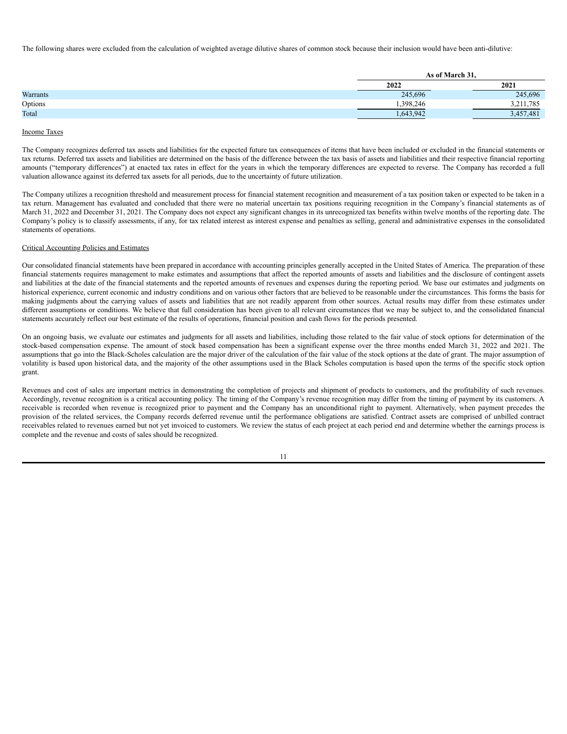The following shares were excluded from the calculation of weighted average dilutive shares of common stock because their inclusion would have been anti-dilutive:

|          |          | As of March 31. |  |  |
|----------|----------|-----------------|--|--|
|          | 2022     | 2021            |  |  |
| Warrants | 245,696  | 245,696         |  |  |
| Options  | .398.246 | 3,211,785       |  |  |
| Total    | .643.942 | 3,457,481       |  |  |

#### Income Taxes

The Company recognizes deferred tax assets and liabilities for the expected future tax consequences of items that have been included or excluded in the financial statements or tax returns. Deferred tax assets and liabilities are determined on the basis of the difference between the tax basis of assets and liabilities and their respective financial reporting amounts ("temporary differences") at enacted tax rates in effect for the years in which the temporary differences are expected to reverse. The Company has recorded a full valuation allowance against its deferred tax assets for all periods, due to the uncertainty of future utilization.

The Company utilizes a recognition threshold and measurement process for financial statement recognition and measurement of a tax position taken or expected to be taken in a tax return. Management has evaluated and concluded that there were no material uncertain tax positions requiring recognition in the Company's financial statements as of March 31, 2022 and December 31, 2021. The Company does not expect any significant changes in its unrecognized tax benefits within twelve months of the reporting date. The Company's policy is to classify assessments, if any, for tax related interest as interest expense and penalties as selling, general and administrative expenses in the consolidated statements of operations.

## Critical Accounting Policies and Estimates

Our consolidated financial statements have been prepared in accordance with accounting principles generally accepted in the United States of America. The preparation of these financial statements requires management to make estimates and assumptions that affect the reported amounts of assets and liabilities and the disclosure of contingent assets and liabilities at the date of the financial statements and the reported amounts of revenues and expenses during the reporting period. We base our estimates and judgments on historical experience, current economic and industry conditions and on various other factors that are believed to be reasonable under the circumstances. This forms the basis for making judgments about the carrying values of assets and liabilities that are not readily apparent from other sources. Actual results may differ from these estimates under different assumptions or conditions. We believe that full consideration has been given to all relevant circumstances that we may be subject to, and the consolidated financial statements accurately reflect our best estimate of the results of operations, financial position and cash flows for the periods presented.

On an ongoing basis, we evaluate our estimates and judgments for all assets and liabilities, including those related to the fair value of stock options for determination of the stock-based compensation expense. The amount of stock based compensation has been a significant expense over the three months ended March 31, 2022 and 2021. The assumptions that go into the Black-Scholes calculation are the major driver of the calculation of the fair value of the stock options at the date of grant. The major assumption of volatility is based upon historical data, and the majority of the other assumptions used in the Black Scholes computation is based upon the terms of the specific stock option grant.

Revenues and cost of sales are important metrics in demonstrating the completion of projects and shipment of products to customers, and the profitability of such revenues. Accordingly, revenue recognition is a critical accounting policy. The timing of the Company's revenue recognition may differ from the timing of payment by its customers. A receivable is recorded when revenue is recognized prior to payment and the Company has an unconditional right to payment. Alternatively, when payment precedes the provision of the related services, the Company records deferred revenue until the performance obligations are satisfied. Contract assets are comprised of unbilled contract receivables related to revenues earned but not yet invoiced to customers. We review the status of each project at each period end and determine whether the earnings process is complete and the revenue and costs of sales should be recognized.

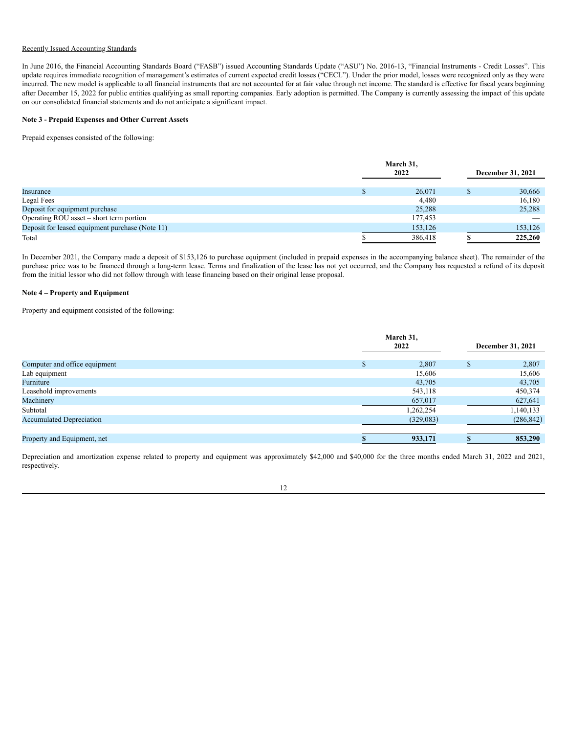#### Recently Issued Accounting Standards

In June 2016, the Financial Accounting Standards Board ("FASB") issued Accounting Standards Update ("ASU") No. 2016-13, "Financial Instruments - Credit Losses". This update requires immediate recognition of management's estimates of current expected credit losses ("CECL"). Under the prior model, losses were recognized only as they were incurred. The new model is applicable to all financial instruments that are not accounted for at fair value through net income. The standard is effective for fiscal years beginning after December 15, 2022 for public entities qualifying as small reporting companies. Early adoption is permitted. The Company is currently assessing the impact of this update on our consolidated financial statements and do not anticipate a significant impact.

## **Note 3 - Prepaid Expenses and Other Current Assets**

Prepaid expenses consisted of the following:

|                                                 | March 31,<br>2022 | <b>December 31, 2021</b> |
|-------------------------------------------------|-------------------|--------------------------|
| Insurance                                       | 26,071            | 30,666                   |
| Legal Fees                                      | 4.480             | 16.180                   |
| Deposit for equipment purchase                  | 25,288            | 25,288                   |
| Operating ROU asset – short term portion        | 177,453           |                          |
| Deposit for leased equipment purchase (Note 11) | 153,126           | 153,126                  |
| Total                                           | 386,418           | 225,260                  |

In December 2021, the Company made a deposit of \$153,126 to purchase equipment (included in prepaid expenses in the accompanying balance sheet). The remainder of the purchase price was to be financed through a long-term lease. Terms and finalization of the lease has not yet occurred, and the Company has requested a refund of its deposit from the initial lessor who did not follow through with lease financing based on their original lease proposal.

## **Note 4 – Property and Equipment**

Property and equipment consisted of the following:

|                                 | March 31,<br>2022 |   | December 31, 2021 |
|---------------------------------|-------------------|---|-------------------|
| Computer and office equipment   | 2,807             | Ф | 2,807             |
| Lab equipment                   | 15,606            |   | 15,606            |
| Furniture                       | 43,705            |   | 43,705            |
| Leasehold improvements          | 543,118           |   | 450,374           |
| Machinery                       | 657,017           |   | 627,641           |
| Subtotal                        | 1,262,254         |   | 1,140,133         |
| <b>Accumulated Depreciation</b> | (329,083)         |   | (286, 842)        |
|                                 |                   |   |                   |
| Property and Equipment, net     | 933,171           |   | 853,290           |

Depreciation and amortization expense related to property and equipment was approximately \$42,000 and \$40,000 for the three months ended March 31, 2022 and 2021, respectively.

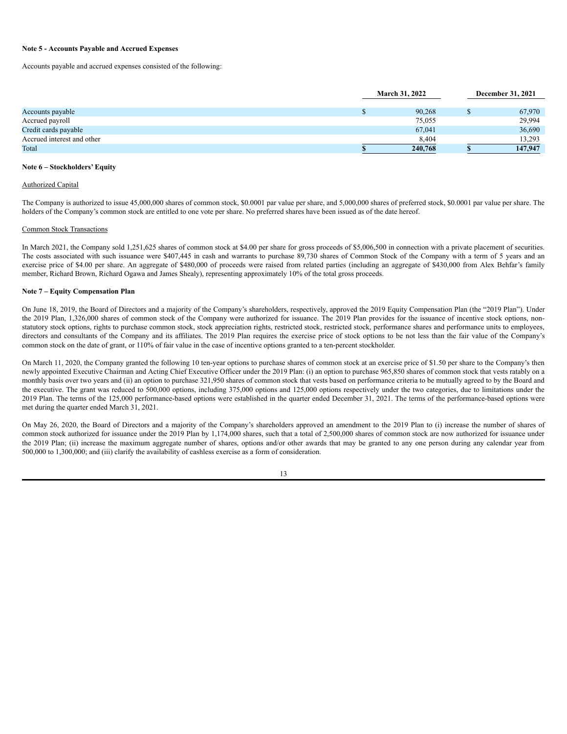#### **Note 5 - Accounts Payable and Accrued Expenses**

Accounts payable and accrued expenses consisted of the following:

|                            | <b>March 31, 2022</b> |  | <b>December 31, 2021</b> |
|----------------------------|-----------------------|--|--------------------------|
|                            |                       |  |                          |
| Accounts payable           | 90,268                |  | 67,970                   |
| Accrued payroll            | 75,055                |  | 29,994                   |
| Credit cards payable       | 67,041                |  | 36,690                   |
| Accrued interest and other | 8.404                 |  | 13,293                   |
| Total                      | 240,768               |  | 147,947                  |

#### **Note 6 – Stockholders' Equity**

#### Authorized Capital

The Company is authorized to issue 45,000,000 shares of common stock, \$0.0001 par value per share, and 5,000,000 shares of preferred stock, \$0.0001 par value per share. The holders of the Company's common stock are entitled to one vote per share. No preferred shares have been issued as of the date hereof.

#### Common Stock Transactions

In March 2021, the Company sold 1,251,625 shares of common stock at \$4.00 per share for gross proceeds of \$5,006,500 in connection with a private placement of securities. The costs associated with such issuance were \$407,445 in cash and warrants to purchase 89,730 shares of Common Stock of the Company with a term of 5 years and an exercise price of \$4.00 per share. An aggregate of \$480,000 of proceeds were raised from related parties (including an aggregate of \$430,000 from Alex Behfar's family member, Richard Brown, Richard Ogawa and James Shealy), representing approximately 10% of the total gross proceeds.

#### **Note 7 – Equity Compensation Plan**

On June 18, 2019, the Board of Directors and a majority of the Company's shareholders, respectively, approved the 2019 Equity Compensation Plan (the "2019 Plan"). Under the 2019 Plan, 1,326,000 shares of common stock of the Company were authorized for issuance. The 2019 Plan provides for the issuance of incentive stock options, nonstatutory stock options, rights to purchase common stock, stock appreciation rights, restricted stock, restricted stock, performance shares and performance units to employees, directors and consultants of the Company and its affiliates. The 2019 Plan requires the exercise price of stock options to be not less than the fair value of the Company's common stock on the date of grant, or 110% of fair value in the case of incentive options granted to a ten-percent stockholder.

On March 11, 2020, the Company granted the following 10 ten-year options to purchase shares of common stock at an exercise price of \$1.50 per share to the Company's then newly appointed Executive Chairman and Acting Chief Executive Officer under the 2019 Plan: (i) an option to purchase 965,850 shares of common stock that vests ratably on a monthly basis over two years and (ii) an option to purchase 321,950 shares of common stock that vests based on performance criteria to be mutually agreed to by the Board and the executive. The grant was reduced to 500,000 options, including 375,000 options and 125,000 options respectively under the two categories, due to limitations under the 2019 Plan. The terms of the 125,000 performance-based options were established in the quarter ended December 31, 2021. The terms of the performance-based options were met during the quarter ended March 31, 2021.

On May 26, 2020, the Board of Directors and a majority of the Company's shareholders approved an amendment to the 2019 Plan to (i) increase the number of shares of common stock authorized for issuance under the 2019 Plan by 1,174,000 shares, such that a total of 2,500,000 shares of common stock are now authorized for issuance under the 2019 Plan; (ii) increase the maximum aggregate number of shares, options and/or other awards that may be granted to any one person during any calendar year from 500,000 to 1,300,000; and (iii) clarify the availability of cashless exercise as a form of consideration.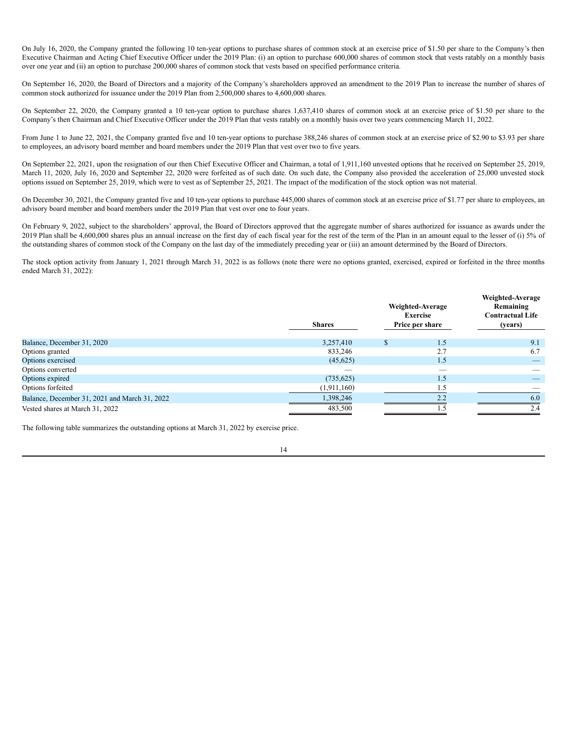On July 16, 2020, the Company granted the following 10 ten-year options to purchase shares of common stock at an exercise price of \$1.50 per share to the Company's then Executive Chairman and Acting Chief Executive Officer under the 2019 Plan: (i) an option to purchase 600,000 shares of common stock that vests ratably on a monthly basis over one year and (ii) an option to purchase 200,000 shares of common stock that vests based on specified performance criteria.

On September 16, 2020, the Board of Directors and a majority of the Company's shareholders approved an amendment to the 2019 Plan to increase the number of shares of common stock authorized for issuance under the 2019 Plan from 2,500,000 shares to 4,600,000 shares.

On September 22, 2020, the Company granted a 10 ten-year option to purchase shares 1,637,410 shares of common stock at an exercise price of \$1.50 per share to the Company's then Chairman and Chief Executive Officer under the 2019 Plan that vests ratably on a monthly basis over two years commencing March 11, 2022.

From June 1 to June 22, 2021, the Company granted five and 10 ten-year options to purchase 388,246 shares of common stock at an exercise price of \$2.90 to \$3.93 per share to employees, an advisory board member and board members under the 2019 Plan that vest over two to five years.

On September 22, 2021, upon the resignation of our then Chief Executive Officer and Chairman, a total of 1,911,160 unvested options that he received on September 25, 2019, March 11, 2020, July 16, 2020 and September 22, 2020 were forfeited as of such date. On such date, the Company also provided the acceleration of 25,000 unvested stock options issued on September 25, 2019, which were to vest as of September 25, 2021. The impact of the modification of the stock option was not material.

On December 30, 2021, the Company granted five and 10 ten-year options to purchase 445,000 shares of common stock at an exercise price of \$1.77 per share to employees, an advisory board member and board members under the 2019 Plan that vest over one to four years.

On February 9, 2022, subject to the shareholders' approval, the Board of Directors approved that the aggregate number of shares authorized for issuance as awards under the 2019 Plan shall be 4,600,000 shares plus an annual increase on the first day of each fiscal year for the rest of the term of the Plan in an amount equal to the lesser of (i) 5% of the outstanding shares of common stock of the Company on the last day of the immediately preceding year or (iii) an amount determined by the Board of Directors.

The stock option activity from January 1, 2021 through March 31, 2022 is as follows (note there were no options granted, exercised, expired or forfeited in the three months ended March 31, 2022):

|                                               | <b>Shares</b> |   | Weighted-Average<br>Remaining<br>Weighted-Average<br><b>Exercise</b><br><b>Contractual Life</b><br>Price per share<br>(years) |     |
|-----------------------------------------------|---------------|---|-------------------------------------------------------------------------------------------------------------------------------|-----|
| Balance, December 31, 2020                    | 3,257,410     | ъ | 1.5                                                                                                                           | 9.1 |
| Options granted                               | 833,246       |   | 2.7                                                                                                                           | 6.7 |
| Options exercised                             | (45,625)      |   | 1.5                                                                                                                           |     |
| Options converted                             |               |   |                                                                                                                               |     |
| Options expired                               | (735, 625)    |   | 1.5                                                                                                                           |     |
| Options forfeited                             | (1,911,160)   |   | l .5                                                                                                                          |     |
| Balance, December 31, 2021 and March 31, 2022 | 1,398,246     |   |                                                                                                                               | 6.0 |
| Vested shares at March 31, 2022               | 483,500       |   |                                                                                                                               | 2.4 |

The following table summarizes the outstanding options at March 31, 2022 by exercise price.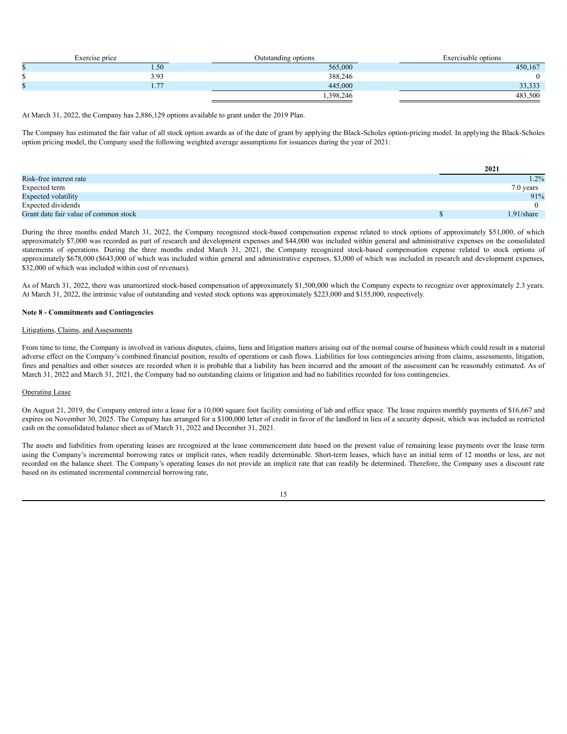| Exercise price                        | Outstanding options | Exercisable options |
|---------------------------------------|---------------------|---------------------|
| 1.50                                  | 565,000             | 450,167             |
| 3.93                                  | 388,246             |                     |
| $\overline{\phantom{m}}$<br>$\cdot$ . | 445,000             | 33,333              |
|                                       | .398,246            | 483,500             |

At March 31, 2022, the Company has 2,886,129 options available to grant under the 2019 Plan.

The Company has estimated the fair value of all stock option awards as of the date of grant by applying the Black-Scholes option-pricing model. In applying the Black-Scholes option pricing model, the Company used the following weighted average assumptions for issuances during the year of 2021:

|                                       | 2021       |
|---------------------------------------|------------|
| Risk-free interest rate               | 1.2%       |
| Expected term                         | 7.0 years  |
| Expected volatility                   | 91%        |
| Expected dividends                    |            |
| Grant date fair value of common stock | 1.91/share |

During the three months ended March 31, 2022, the Company recognized stock-based compensation expense related to stock options of approximately \$51,000, of which approximately \$7,000 was recorded as part of research and development expenses and \$44,000 was included within general and administrative expenses on the consolidated statements of operations. During the three months ended March 31, 2021, the Company recognized stock-based compensation expense related to stock options of approximately \$678,000 (\$643,000 of which was included within general and administrative expenses, \$3,000 of which was included in research and development expenses, \$32,000 of which was included within cost of revenues).

As of March 31, 2022, there was unamortized stock-based compensation of approximately \$1,500,000 which the Company expects to recognize over approximately 2.3 years. At March 31, 2022, the intrinsic value of outstanding and vested stock options was approximately \$223,000 and \$155,000, respectively.

#### **Note 8 - Commitments and Contingencies**

## Litigations, Claims, and Assessments

From time to time, the Company is involved in various disputes, claims, liens and litigation matters arising out of the normal course of business which could result in a material adverse effect on the Company's combined financial position, results of operations or cash flows. Liabilities for loss contingencies arising from claims, assessments, litigation, fines and penalties and other sources are recorded when it is probable that a liability has been incurred and the amount of the assessment can be reasonably estimated. As of March 31, 2022 and March 31, 2021, the Company had no outstanding claims or litigation and had no liabilities recorded for loss contingencies.

#### Operating Lease

On August 21, 2019, the Company entered into a lease for a 10,000 square foot facility consisting of lab and office space. The lease requires monthly payments of \$16,667 and expires on November 30, 2025. The Company has arranged for a \$100,000 letter of credit in favor of the landlord in lieu of a security deposit, which was included as restricted cash on the consolidated balance sheet as of March 31, 2022 and December 31, 2021.

The assets and liabilities from operating leases are recognized at the lease commencement date based on the present value of remaining lease payments over the lease term using the Company's incremental borrowing rates or implicit rates, when readily determinable. Short-term leases, which have an initial term of 12 months or less, are not recorded on the balance sheet. The Company's operating leases do not provide an implicit rate that can readily be determined. Therefore, the Company uses a discount rate based on its estimated incremental commercial borrowing rate,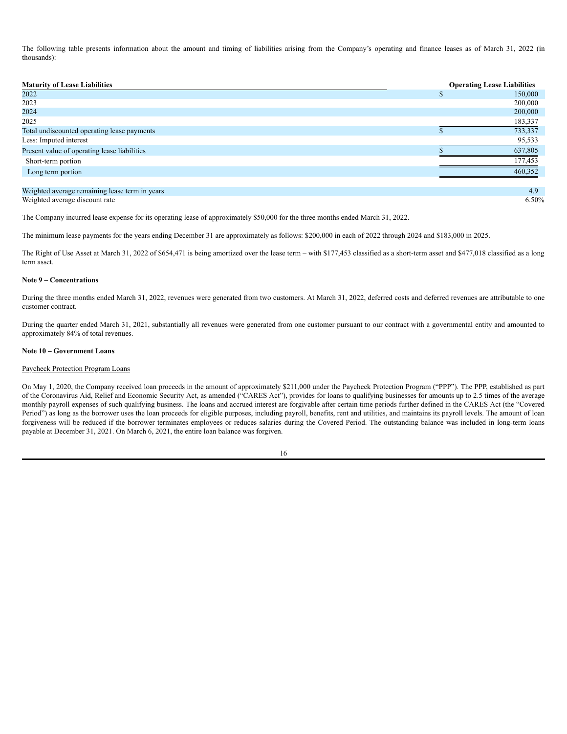The following table presents information about the amount and timing of liabilities arising from the Company's operating and finance leases as of March 31, 2022 (in thousands):

| <b>Maturity of Lease Liabilities</b>           | <b>Operating Lease Liabilities</b> |
|------------------------------------------------|------------------------------------|
| 2022                                           | 150,000                            |
| 2023                                           | 200,000                            |
| 2024                                           | 200,000                            |
| 2025                                           | 183,337                            |
| Total undiscounted operating lease payments    | 733,337                            |
| Less: Imputed interest                         | 95,533                             |
| Present value of operating lease liabilities   | 637,805                            |
| Short-term portion                             | 177,453                            |
| Long term portion                              | 460,352                            |
|                                                |                                    |
| Weighted average remaining lease term in years | 4.9                                |

Weighted average discount rate 6.50% of the state of the state of the state of the state of the state of the state of the state of the state of the state of the state of the state of the state of the state of the state of

The Company incurred lease expense for its operating lease of approximately \$50,000 for the three months ended March 31, 2022.

The minimum lease payments for the years ending December 31 are approximately as follows: \$200,000 in each of 2022 through 2024 and \$183,000 in 2025.

The Right of Use Asset at March 31, 2022 of \$654,471 is being amortized over the lease term – with \$177,453 classified as a short-term asset and \$477,018 classified as a long term asset.

## **Note 9 – Concentrations**

During the three months ended March 31, 2022, revenues were generated from two customers. At March 31, 2022, deferred costs and deferred revenues are attributable to one customer contract.

During the quarter ended March 31, 2021, substantially all revenues were generated from one customer pursuant to our contract with a governmental entity and amounted to approximately 84% of total revenues.

#### **Note 10 – Government Loans**

#### Paycheck Protection Program Loans

On May 1, 2020, the Company received loan proceeds in the amount of approximately \$211,000 under the Paycheck Protection Program ("PPP"). The PPP, established as part of the Coronavirus Aid, Relief and Economic Security Act, as amended ("CARES Act"), provides for loans to qualifying businesses for amounts up to 2.5 times of the average monthly payroll expenses of such qualifying business. The loans and accrued interest are forgivable after certain time periods further defined in the CARES Act (the "Covered Period") as long as the borrower uses the loan proceeds for eligible purposes, including payroll, benefits, rent and utilities, and maintains its payroll levels. The amount of loan forgiveness will be reduced if the borrower terminates employees or reduces salaries during the Covered Period. The outstanding balance was included in long-term loans payable at December 31, 2021. On March 6, 2021, the entire loan balance was forgiven.

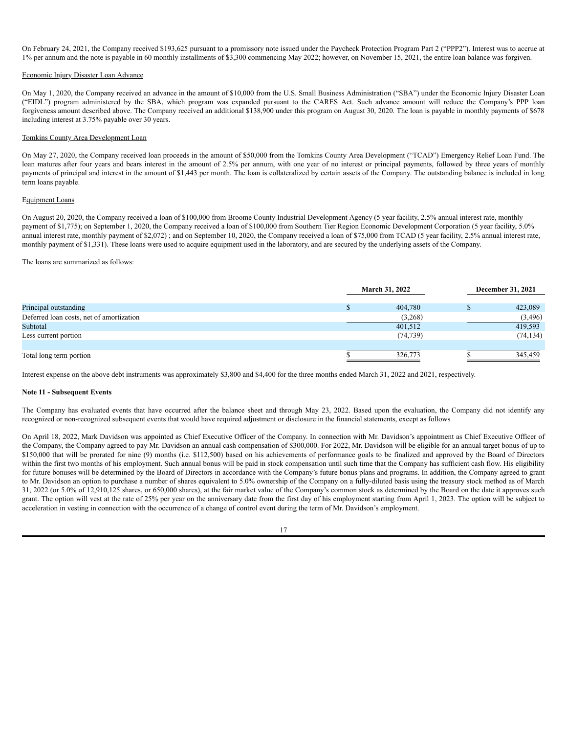On February 24, 2021, the Company received \$193,625 pursuant to a promissory note issued under the Paycheck Protection Program Part 2 ("PPP2"). Interest was to accrue at 1% per annum and the note is payable in 60 monthly installments of \$3,300 commencing May 2022; however, on November 15, 2021, the entire loan balance was forgiven.

#### Economic Injury Disaster Loan Advance

On May 1, 2020, the Company received an advance in the amount of \$10,000 from the U.S. Small Business Administration ("SBA") under the Economic Injury Disaster Loan ("EIDL") program administered by the SBA, which program was expanded pursuant to the CARES Act. Such advance amount will reduce the Company's PPP loan forgiveness amount described above. The Company received an additional \$138,900 under this program on August 30, 2020. The loan is payable in monthly payments of \$678 including interest at 3.75% payable over 30 years.

#### Tomkins County Area Development Loan

On May 27, 2020, the Company received loan proceeds in the amount of \$50,000 from the Tomkins County Area Development ("TCAD") Emergency Relief Loan Fund. The loan matures after four years and bears interest in the amount of 2.5% per annum, with one year of no interest or principal payments, followed by three years of monthly payments of principal and interest in the amount of \$1,443 per month. The loan is collateralized by certain assets of the Company. The outstanding balance is included in long term loans payable.

#### Equipment Loans

On August 20, 2020, the Company received a loan of \$100,000 from Broome County Industrial Development Agency (5 year facility, 2.5% annual interest rate, monthly payment of \$1,775); on September 1, 2020, the Company received a loan of \$100,000 from Southern Tier Region Economic Development Corporation (5 year facility, 5.0% annual interest rate, monthly payment of \$2,072) ; and on September 10, 2020, the Company received a loan of \$75,000 from TCAD (5 year facility, 2.5% annual interest rate, monthly payment of \$1,331). These loans were used to acquire equipment used in the laboratory, and are secured by the underlying assets of the Company.

#### The loans are summarized as follows:

|                                          | <b>March 31, 2022</b> |  | December 31, 2021 |  |
|------------------------------------------|-----------------------|--|-------------------|--|
|                                          |                       |  |                   |  |
| Principal outstanding                    | 404,780               |  | 423,089           |  |
| Deferred loan costs, net of amortization | (3,268)               |  | (3, 496)          |  |
| Subtotal                                 | 401,512               |  | 419,593           |  |
| Less current portion                     | (74, 739)             |  | (74, 134)         |  |
|                                          |                       |  |                   |  |
| Total long term portion                  | 326,773               |  | 345,459           |  |

Interest expense on the above debt instruments was approximately \$3,800 and \$4,400 for the three months ended March 31, 2022 and 2021, respectively.

#### **Note 11 - Subsequent Events**

The Company has evaluated events that have occurred after the balance sheet and through May 23, 2022. Based upon the evaluation, the Company did not identify any recognized or non-recognized subsequent events that would have required adjustment or disclosure in the financial statements, except as follows

On April 18, 2022, Mark Davidson was appointed as Chief Executive Officer of the Company. In connection with Mr. Davidson's appointment as Chief Executive Officer of the Company, the Company agreed to pay Mr. Davidson an annual cash compensation of \$300,000. For 2022, Mr. Davidson will be eligible for an annual target bonus of up to \$150,000 that will be prorated for nine (9) months (i.e. \$112,500) based on his achievements of performance goals to be finalized and approved by the Board of Directors within the first two months of his employment. Such annual bonus will be paid in stock compensation until such time that the Company has sufficient cash flow. His eligibility for future bonuses will be determined by the Board of Directors in accordance with the Company's future bonus plans and programs. In addition, the Company agreed to grant to Mr. Davidson an option to purchase a number of shares equivalent to 5.0% ownership of the Company on a fully-diluted basis using the treasury stock method as of March 31, 2022 (or 5.0% of 12,910,125 shares, or 650,000 shares), at the fair market value of the Company's common stock as determined by the Board on the date it approves such grant. The option will vest at the rate of 25% per year on the anniversary date from the first day of his employment starting from April 1, 2023. The option will be subject to acceleration in vesting in connection with the occurrence of a change of control event during the term of Mr. Davidson's employment.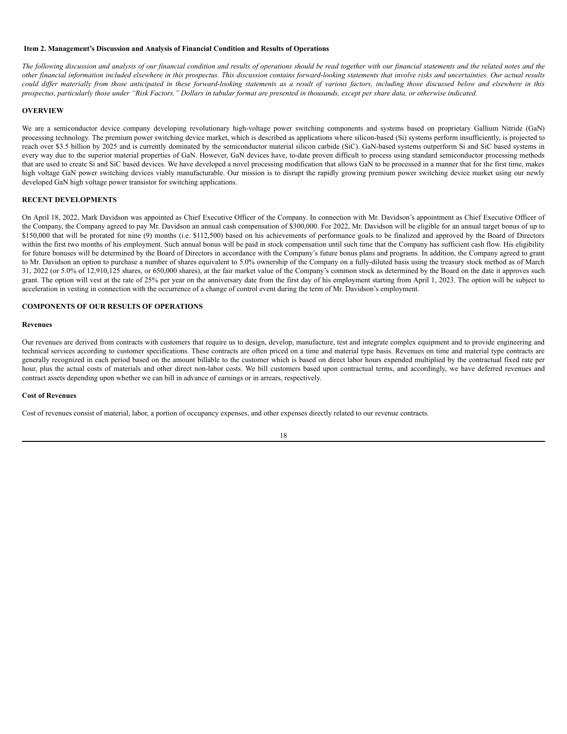#### <span id="page-17-0"></span>**Item 2. Management's Discussion and Analysis of Financial Condition and Results of Operations**

The following discussion and analysis of our financial condition and results of operations should be read together with our financial statements and the related notes and the other financial information included elsewhere in this prospectus. This discussion contains forward-looking statements that involve risks and uncertainties. Our actual results could differ materially from those anticipated in these forward-looking statements as a result of various factors, including those discussed below and elsewhere in this prospectus, particularly those under "Risk Factors." Dollars in tabular format are presented in thousands, except per share data, or otherwise indicated.

#### **OVERVIEW**

We are a semiconductor device company developing revolutionary high-voltage power switching components and systems based on proprietary Gallium Nitride (GaN) processing technology. The premium power switching device market, which is described as applications where silicon-based (Si) systems perform insufficiently, is projected to reach over \$3.5 billion by 2025 and is currently dominated by the semiconductor material silicon carbide (SiC). GaN-based systems outperform Si and SiC based systems in every way due to the superior material properties of GaN. However, GaN devices have, to-date proven difficult to process using standard semiconductor processing methods that are used to create Si and SiC based devices. We have developed a novel processing modification that allows GaN to be processed in a manner that for the first time, makes high voltage GaN power switching devices viably manufacturable. Our mission is to disrupt the rapidly growing premium power switching device market using our newly developed GaN high voltage power transistor for switching applications.

#### **RECENT DEVELOPMENTS**

On April 18, 2022, Mark Davidson was appointed as Chief Executive Officer of the Company. In connection with Mr. Davidson's appointment as Chief Executive Officer of the Company, the Company agreed to pay Mr. Davidson an annual cash compensation of \$300,000. For 2022, Mr. Davidson will be eligible for an annual target bonus of up to \$150,000 that will be prorated for nine (9) months (i.e. \$112,500) based on his achievements of performance goals to be finalized and approved by the Board of Directors within the first two months of his employment. Such annual bonus will be paid in stock compensation until such time that the Company has sufficient cash flow. His eligibility for future bonuses will be determined by the Board of Directors in accordance with the Company's future bonus plans and programs. In addition, the Company agreed to grant to Mr. Davidson an option to purchase a number of shares equivalent to 5.0% ownership of the Company on a fully-diluted basis using the treasury stock method as of March 31, 2022 (or 5.0% of 12,910,125 shares, or 650,000 shares), at the fair market value of the Company's common stock as determined by the Board on the date it approves such grant. The option will vest at the rate of 25% per year on the anniversary date from the first day of his employment starting from April 1, 2023. The option will be subject to acceleration in vesting in connection with the occurrence of a change of control event during the term of Mr. Davidson's employment.

## **COMPONENTS OF OUR RESULTS OF OPERATIONS**

#### **Revenues**

Our revenues are derived from contracts with customers that require us to design, develop, manufacture, test and integrate complex equipment and to provide engineering and technical services according to customer specifications. These contracts are often priced on a time and material type basis. Revenues on time and material type contracts are generally recognized in each period based on the amount billable to the customer which is based on direct labor hours expended multiplied by the contractual fixed rate per hour, plus the actual costs of materials and other direct non-labor costs. We bill customers based upon contractual terms, and accordingly, we have deferred revenues and contract assets depending upon whether we can bill in advance of earnings or in arrears, respectively.

## **Cost of Revenues**

Cost of revenues consist of material, labor, a portion of occupancy expenses, and other expenses directly related to our revenue contracts.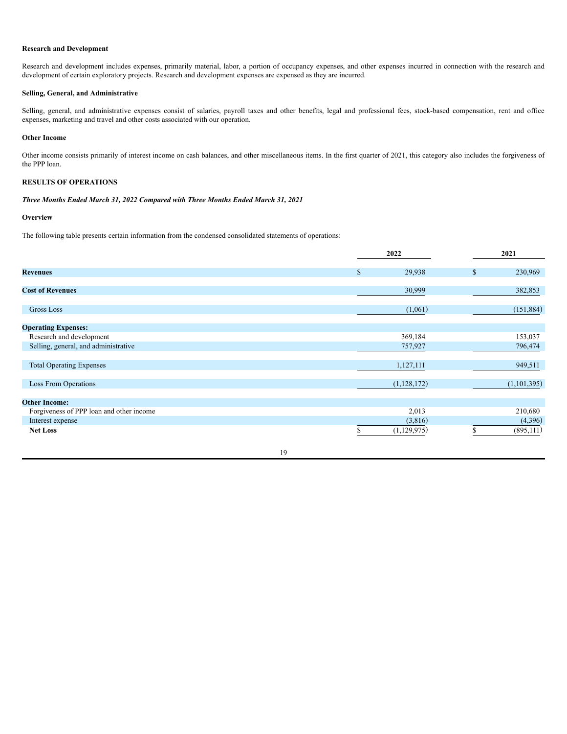#### **Research and Development**

Research and development includes expenses, primarily material, labor, a portion of occupancy expenses, and other expenses incurred in connection with the research and development of certain exploratory projects. Research and development expenses are expensed as they are incurred.

#### **Selling, General, and Administrative**

Selling, general, and administrative expenses consist of salaries, payroll taxes and other benefits, legal and professional fees, stock-based compensation, rent and office expenses, marketing and travel and other costs associated with our operation.

## **Other Income**

Other income consists primarily of interest income on cash balances, and other miscellaneous items. In the first quarter of 2021, this category also includes the forgiveness of the PPP loan.

## **RESULTS OF OPERATIONS**

#### *Three Months Ended March 31, 2022 Compared with Three Months Ended March 31, 2021*

#### **Overview**

The following table presents certain information from the condensed consolidated statements of operations:

|                                          | 2022                   | 2021                     |
|------------------------------------------|------------------------|--------------------------|
| <b>Revenues</b>                          | $\mathbb{S}$<br>29,938 | 230,969<br><sup>\$</sup> |
|                                          |                        |                          |
| <b>Cost of Revenues</b>                  | 30,999                 | 382,853                  |
| <b>Gross Loss</b>                        | (1,061)                | (151, 884)               |
|                                          |                        |                          |
| <b>Operating Expenses:</b>               |                        |                          |
| Research and development                 | 369,184                | 153,037                  |
| Selling, general, and administrative     | 757,927                | 796,474                  |
| <b>Total Operating Expenses</b>          | 1,127,111              | 949,511                  |
| Loss From Operations                     | (1,128,172)            | (1, 101, 395)            |
| <b>Other Income:</b>                     |                        |                          |
| Forgiveness of PPP loan and other income | 2,013                  | 210,680                  |
| Interest expense                         | (3,816)                | (4, 396)                 |
| <b>Net Loss</b>                          | (1,129,975)<br>ъ.      | (895,111)                |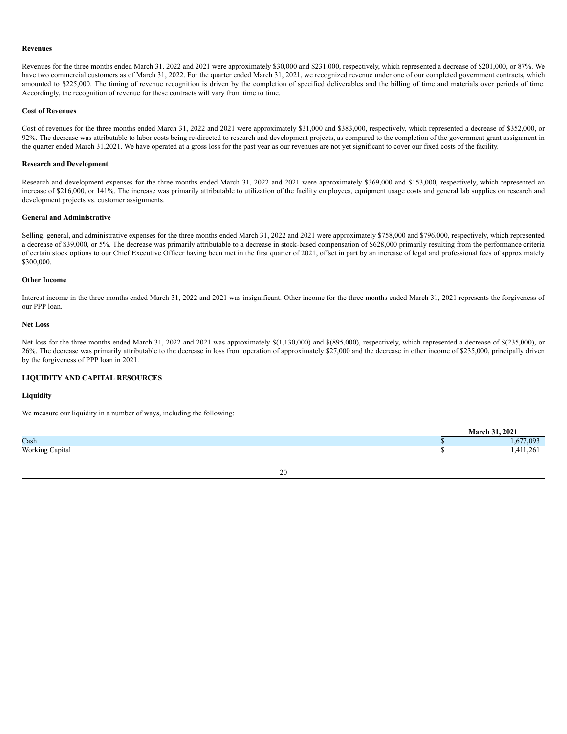#### **Revenues**

Revenues for the three months ended March 31, 2022 and 2021 were approximately \$30,000 and \$231,000, respectively, which represented a decrease of \$201,000, or 87%. We have two commercial customers as of March 31, 2022. For the quarter ended March 31, 2021, we recognized revenue under one of our completed government contracts, which amounted to \$225,000. The timing of revenue recognition is driven by the completion of specified deliverables and the billing of time and materials over periods of time. Accordingly, the recognition of revenue for these contracts will vary from time to time.

#### **Cost of Revenues**

Cost of revenues for the three months ended March 31, 2022 and 2021 were approximately \$31,000 and \$383,000, respectively, which represented a decrease of \$352,000, or 92%. The decrease was attributable to labor costs being re-directed to research and development projects, as compared to the completion of the government grant assignment in the quarter ended March 31,2021. We have operated at a gross loss for the past year as our revenues are not yet significant to cover our fixed costs of the facility.

#### **Research and Development**

Research and development expenses for the three months ended March 31, 2022 and 2021 were approximately \$369,000 and \$153,000, respectively, which represented an increase of \$216,000, or 141%. The increase was primarily attributable to utilization of the facility employees, equipment usage costs and general lab supplies on research and development projects vs. customer assignments.

#### **General and Administrative**

Selling, general, and administrative expenses for the three months ended March 31, 2022 and 2021 were approximately \$758,000 and \$796,000, respectively, which represented a decrease of \$39,000, or 5%. The decrease was primarily attributable to a decrease in stock-based compensation of \$628,000 primarily resulting from the performance criteria of certain stock options to our Chief Executive Officer having been met in the first quarter of 2021, offset in part by an increase of legal and professional fees of approximately \$300,000.

## **Other Income**

Interest income in the three months ended March 31, 2022 and 2021 was insignificant. Other income for the three months ended March 31, 2021 represents the forgiveness of our PPP loan.

#### **Net Loss**

Net loss for the three months ended March 31, 2022 and 2021 was approximately \$(1,130,000) and \$(895,000), respectively, which represented a decrease of \$(235,000), or 26%. The decrease was primarily attributable to the decrease in loss from operation of approximately \$27,000 and the decrease in other income of \$235,000, principally driven by the forgiveness of PPP loan in 2021.

## **LIQUIDITY AND CAPITAL RESOURCES**

## **Liquidity**

We measure our liquidity in a number of ways, including the following:

|                 | <b>March 31, 2021</b> |
|-----------------|-----------------------|
| Cash            | .677,093              |
| Working Capital | 1,411,261             |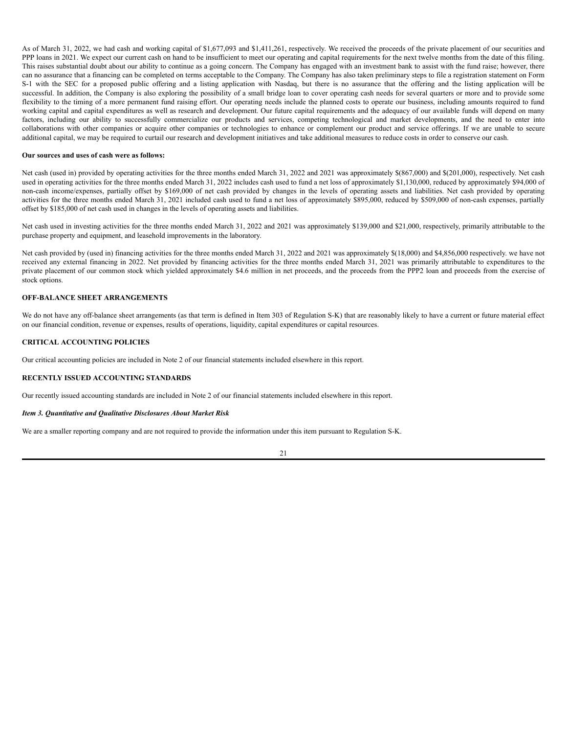As of March 31, 2022, we had cash and working capital of \$1,677,093 and \$1,411,261, respectively. We received the proceeds of the private placement of our securities and PPP loans in 2021. We expect our current cash on hand to be insufficient to meet our operating and capital requirements for the next twelve months from the date of this filing. This raises substantial doubt about our ability to continue as a going concern. The Company has engaged with an investment bank to assist with the fund raise; however, there can no assurance that a financing can be completed on terms acceptable to the Company. The Company has also taken preliminary steps to file a registration statement on Form S-1 with the SEC for a proposed public offering and a listing application with Nasdaq, but there is no assurance that the offering and the listing application will be successful. In addition, the Company is also exploring the possibility of a small bridge loan to cover operating cash needs for several quarters or more and to provide some flexibility to the timing of a more permanent fund raising effort. Our operating needs include the planned costs to operate our business, including amounts required to fund working capital and capital expenditures as well as research and development. Our future capital requirements and the adequacy of our available funds will depend on many factors, including our ability to successfully commercialize our products and services, competing technological and market developments, and the need to enter into collaborations with other companies or acquire other companies or technologies to enhance or complement our product and service offerings. If we are unable to secure additional capital, we may be required to curtail our research and development initiatives and take additional measures to reduce costs in order to conserve our cash.

#### **Our sources and uses of cash were as follows:**

Net cash (used in) provided by operating activities for the three months ended March 31, 2022 and 2021 was approximately \$(867,000) and \$(201,000), respectively. Net cash used in operating activities for the three months ended March 31, 2022 includes cash used to fund a net loss of approximately \$1,130,000, reduced by approximately \$94,000 of non-cash income/expenses, partially offset by \$169,000 of net cash provided by changes in the levels of operating assets and liabilities. Net cash provided by operating activities for the three months ended March 31, 2021 included cash used to fund a net loss of approximately \$895,000, reduced by \$509,000 of non-cash expenses, partially offset by \$185,000 of net cash used in changes in the levels of operating assets and liabilities.

Net cash used in investing activities for the three months ended March 31, 2022 and 2021 was approximately \$139,000 and \$21,000, respectively, primarily attributable to the purchase property and equipment, and leasehold improvements in the laboratory.

Net cash provided by (used in) financing activities for the three months ended March 31, 2022 and 2021 was approximately \$(18,000) and \$4,856,000 respectively. we have not received any external financing in 2022. Net provided by financing activities for the three months ended March 31, 2021 was primarily attributable to expenditures to the private placement of our common stock which yielded approximately \$4.6 million in net proceeds, and the proceeds from the PPP2 loan and proceeds from the exercise of stock options.

#### **OFF-BALANCE SHEET ARRANGEMENTS**

We do not have any off-balance sheet arrangements (as that term is defined in Item 303 of Regulation S-K) that are reasonably likely to have a current or future material effect on our financial condition, revenue or expenses, results of operations, liquidity, capital expenditures or capital resources.

#### **CRITICAL ACCOUNTING POLICIES**

Our critical accounting policies are included in Note 2 of our financial statements included elsewhere in this report.

#### **RECENTLY ISSUED ACCOUNTING STANDARDS**

Our recently issued accounting standards are included in Note 2 of our financial statements included elsewhere in this report.

#### <span id="page-20-0"></span>*Item 3. Quantitative and Qualitative Disclosures About Market Risk*

We are a smaller reporting company and are not required to provide the information under this item pursuant to Regulation S-K.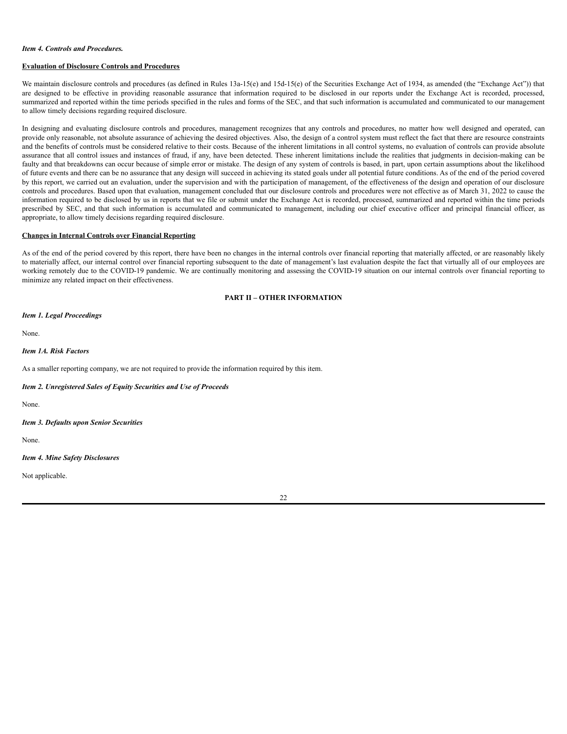#### <span id="page-21-0"></span>*Item 4. Controls and Procedures.*

## **Evaluation of Disclosure Controls and Procedures**

We maintain disclosure controls and procedures (as defined in Rules 13a-15(e) and 15d-15(e) of the Securities Exchange Act of 1934, as amended (the "Exchange Act")) that are designed to be effective in providing reasonable assurance that information required to be disclosed in our reports under the Exchange Act is recorded, processed, summarized and reported within the time periods specified in the rules and forms of the SEC, and that such information is accumulated and communicated to our management to allow timely decisions regarding required disclosure.

In designing and evaluating disclosure controls and procedures, management recognizes that any controls and procedures, no matter how well designed and operated, can provide only reasonable, not absolute assurance of achieving the desired objectives. Also, the design of a control system must reflect the fact that there are resource constraints and the benefits of controls must be considered relative to their costs. Because of the inherent limitations in all control systems, no evaluation of controls can provide absolute assurance that all control issues and instances of fraud, if any, have been detected. These inherent limitations include the realities that judgments in decision-making can be faulty and that breakdowns can occur because of simple error or mistake. The design of any system of controls is based, in part, upon certain assumptions about the likelihood of future events and there can be no assurance that any design will succeed in achieving its stated goals under all potential future conditions. As of the end of the period covered by this report, we carried out an evaluation, under the supervision and with the participation of management, of the effectiveness of the design and operation of our disclosure controls and procedures. Based upon that evaluation, management concluded that our disclosure controls and procedures were not effective as of March 31, 2022 to cause the information required to be disclosed by us in reports that we file or submit under the Exchange Act is recorded, processed, summarized and reported within the time periods prescribed by SEC, and that such information is accumulated and communicated to management, including our chief executive officer and principal financial officer, as appropriate, to allow timely decisions regarding required disclosure.

#### **Changes in Internal Controls over Financial Reporting**

As of the end of the period covered by this report, there have been no changes in the internal controls over financial reporting that materially affected, or are reasonably likely to materially affect, our internal control over financial reporting subsequent to the date of management's last evaluation despite the fact that virtually all of our employees are working remotely due to the COVID-19 pandemic. We are continually monitoring and assessing the COVID-19 situation on our internal controls over financial reporting to minimize any related impact on their effectiveness.

## **PART II – OTHER INFORMATION**

#### <span id="page-21-2"></span><span id="page-21-1"></span>*Item 1. Legal Proceedings*

None.

<span id="page-21-3"></span>*Item 1A. Risk Factors*

As a smaller reporting company, we are not required to provide the information required by this item.

#### <span id="page-21-4"></span>*Item 2. Unregistered Sales of Equity Securities and Use of Proceeds*

None.

#### <span id="page-21-5"></span>*Item 3. Defaults upon Senior Securities*

None.

## <span id="page-21-6"></span>*Item 4. Mine Safety Disclosures*

Not applicable.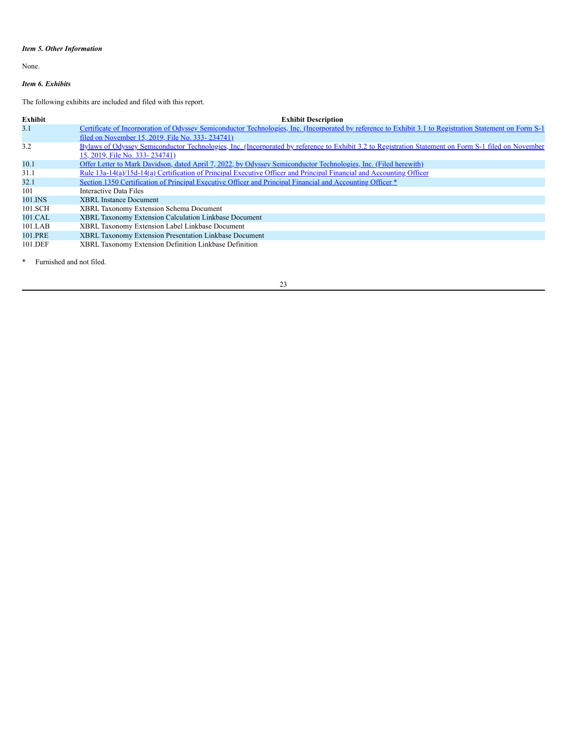## <span id="page-22-0"></span>*Item 5. Other Information*

None.

## <span id="page-22-1"></span>*Item 6. Exhibits*

The following exhibits are included and filed with this report.

| <b>Exhibit</b> | <b>Exhibit Description</b>                                                                                                                               |
|----------------|----------------------------------------------------------------------------------------------------------------------------------------------------------|
| 3.1            | Certificate of Incorporation of Odyssey Semiconductor Technologies, Inc. (Incorporated by reference to Exhibit 3.1 to Registration Statement on Form S-1 |
|                | filed on November 15, 2019, File No. 333-234741)                                                                                                         |
| 3.2            | Bylaws of Odyssey Semiconductor Technologies, Inc. (Incorporated by reference to Exhibit 3.2 to Registration Statement on Form S-1 filed on November     |
|                | 15, 2019, File No. 333-234741)                                                                                                                           |
| 10.1           | Offer Letter to Mark Davidson, dated April 7, 2022, by Odyssey Semiconductor Technologies, Inc. (Filed herewith)                                         |
| 31.1           | Rule 13a-14(a)/15d-14(a) Certification of Principal Executive Officer and Principal Financial and Accounting Officer                                     |
| 32.1           | Section 1350 Certification of Principal Executive Officer and Principal Financial and Accounting Officer *                                               |
| 101            | Interactive Data Files                                                                                                                                   |
| 101.INS        | <b>XBRL</b> Instance Document                                                                                                                            |
| 101.SCH        | <b>XBRL Taxonomy Extension Schema Document</b>                                                                                                           |
| $101$ .CAL     | XBRL Taxonomy Extension Calculation Linkbase Document                                                                                                    |
| 101.LAB        | XBRL Taxonomy Extension Label Linkbase Document                                                                                                          |
| 101.PRE        | XBRL Taxonomy Extension Presentation Linkbase Document                                                                                                   |
| 101.DEF        | XBRL Taxonomy Extension Definition Linkbase Definition                                                                                                   |

\* Furnished and not filed.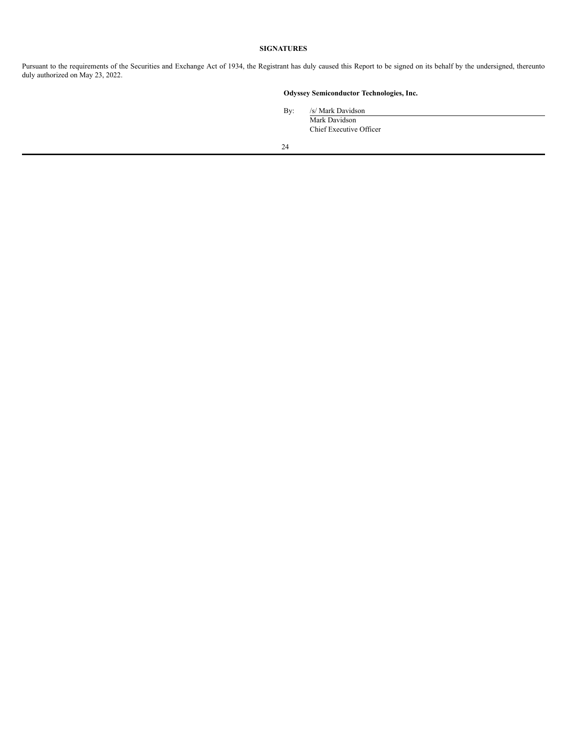## **SIGNATURES**

<span id="page-23-0"></span>Pursuant to the requirements of the Securities and Exchange Act of 1934, the Registrant has duly caused this Report to be signed on its behalf by the undersigned, thereunto duly authorized on May 23, 2022.

## **Odyssey Semiconductor Technologies, Inc.**

By: /s/ Mark Davidson Mark Davidson

Chief Executive Officer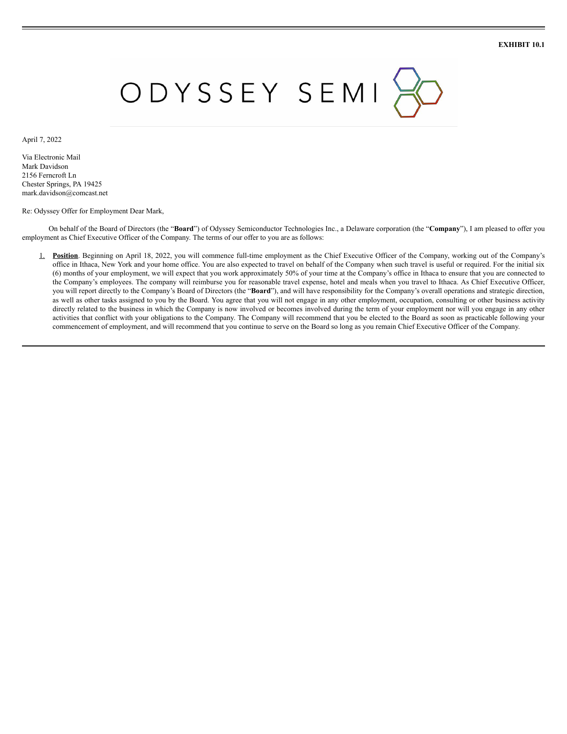## **EXHIBIT 10.1**



April 7, 2022

Via Electronic Mail Mark Davidson 2156 Ferncroft Ln Chester Springs, PA 19425 mark.davidson@comcast.net

Re: Odyssey Offer for Employment Dear Mark,

On behalf of the Board of Directors (the "**Board**") of Odyssey Semiconductor Technologies Inc., a Delaware corporation (the "**Company**"), I am pleased to offer you employment as Chief Executive Officer of the Company. The terms of our offer to you are as follows:

1. **Position**. Beginning on April 18, 2022, you will commence full-time employment as the Chief Executive Officer of the Company, working out of the Company's office in Ithaca, New York and your home office. You are also expected to travel on behalf of the Company when such travel is useful or required. For the initial six (6) months of your employment, we will expect that you work approximately 50% of your time at the Company's office in Ithaca to ensure that you are connected to the Company's employees. The company will reimburse you for reasonable travel expense, hotel and meals when you travel to Ithaca. As Chief Executive Officer, you will report directly to the Company's Board of Directors (the "**Board**"), and will have responsibility for the Company's overall operations and strategic direction, as well as other tasks assigned to you by the Board. You agree that you will not engage in any other employment, occupation, consulting or other business activity directly related to the business in which the Company is now involved or becomes involved during the term of your employment nor will you engage in any other activities that conflict with your obligations to the Company. The Company will recommend that you be elected to the Board as soon as practicable following your commencement of employment, and will recommend that you continue to serve on the Board so long as you remain Chief Executive Officer of the Company.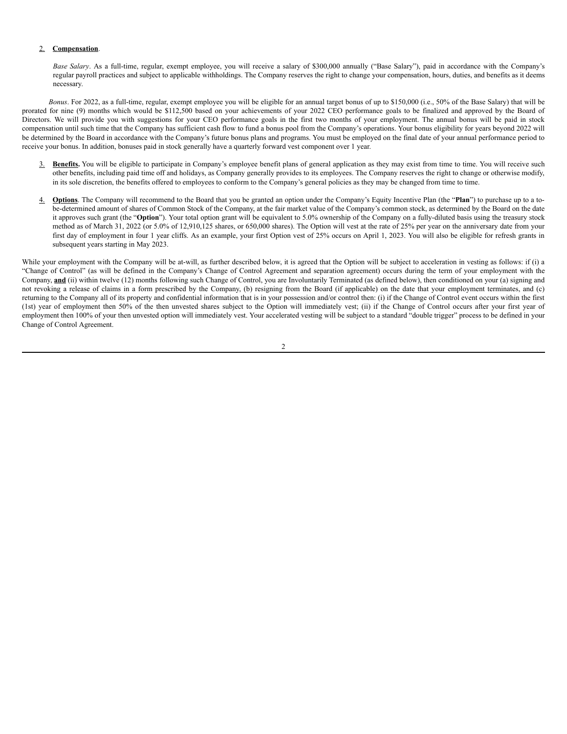## 2. **Compensation**.

*Base Salary*. As a full-time, regular, exempt employee, you will receive a salary of \$300,000 annually ("Base Salary"), paid in accordance with the Company's regular payroll practices and subject to applicable withholdings. The Company reserves the right to change your compensation, hours, duties, and benefits as it deems necessary.

*Bonus*. For 2022, as a full-time, regular, exempt employee you will be eligible for an annual target bonus of up to \$150,000 (i.e., 50% of the Base Salary) that will be prorated for nine (9) months which would be \$112,500 based on your achievements of your 2022 CEO performance goals to be finalized and approved by the Board of Directors. We will provide you with suggestions for your CEO performance goals in the first two months of your employment. The annual bonus will be paid in stock compensation until such time that the Company has sufficient cash flow to fund a bonus pool from the Company's operations. Your bonus eligibility for years beyond 2022 will be determined by the Board in accordance with the Company's future bonus plans and programs. You must be employed on the final date of your annual performance period to receive your bonus. In addition, bonuses paid in stock generally have a quarterly forward vest component over 1 year.

- 3. **Benefits.** You will be eligible to participate in Company's employee benefit plans of general application as they may exist from time to time. You will receive such other benefits, including paid time off and holidays, as Company generally provides to its employees. The Company reserves the right to change or otherwise modify, in its sole discretion, the benefits offered to employees to conform to the Company's general policies as they may be changed from time to time.
- 4. **Options**. The Company will recommend to the Board that you be granted an option under the Company's Equity Incentive Plan (the "**Plan**") to purchase up to a tobe-determined amount of shares of Common Stock of the Company, at the fair market value of the Company's common stock, as determined by the Board on the date it approves such grant (the "**Option**"). Your total option grant will be equivalent to 5.0% ownership of the Company on a fully-diluted basis using the treasury stock method as of March 31, 2022 (or 5.0% of 12,910,125 shares, or 650,000 shares). The Option will vest at the rate of 25% per year on the anniversary date from your first day of employment in four 1 year cliffs. As an example, your first Option vest of 25% occurs on April 1, 2023. You will also be eligible for refresh grants in subsequent years starting in May 2023.

While your employment with the Company will be at-will, as further described below, it is agreed that the Option will be subject to acceleration in vesting as follows: if (i) a "Change of Control" (as will be defined in the Company's Change of Control Agreement and separation agreement) occurs during the term of your employment with the Company, **and** (ii) within twelve (12) months following such Change of Control, you are Involuntarily Terminated (as defined below), then conditioned on your (a) signing and not revoking a release of claims in a form prescribed by the Company, (b) resigning from the Board (if applicable) on the date that your employment terminates, and (c) returning to the Company all of its property and confidential information that is in your possession and/or control then: (i) if the Change of Control event occurs within the first (1st) year of employment then 50% of the then unvested shares subject to the Option will immediately vest; (ii) if the Change of Control occurs after your first year of employment then 100% of your then unvested option will immediately vest. Your accelerated vesting will be subject to a standard "double trigger" process to be defined in your Change of Control Agreement.

 $\mathfrak{Z}$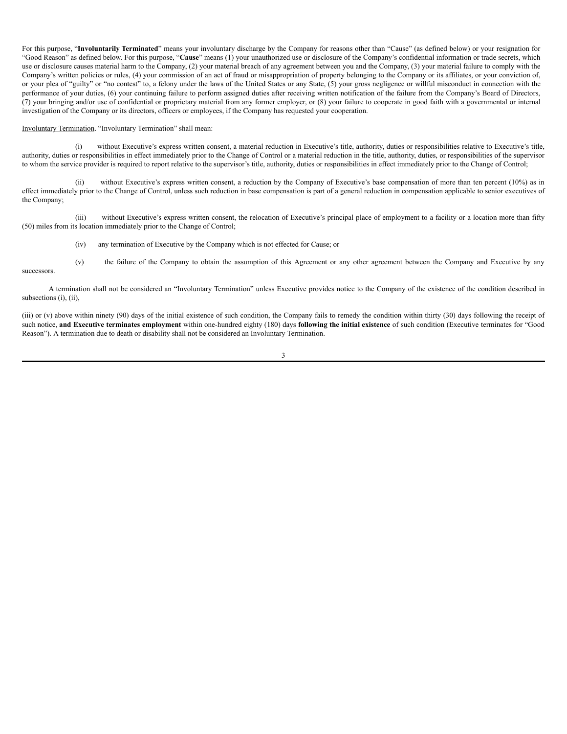For this purpose, "**Involuntarily Terminated**" means your involuntary discharge by the Company for reasons other than "Cause" (as defined below) or your resignation for "Good Reason" as defined below. For this purpose, "**Cause**" means (1) your unauthorized use or disclosure of the Company's confidential information or trade secrets, which use or disclosure causes material harm to the Company, (2) your material breach of any agreement between you and the Company, (3) your material failure to comply with the Company's written policies or rules, (4) your commission of an act of fraud or misappropriation of property belonging to the Company or its affiliates, or your conviction of, or your plea of "guilty" or "no contest" to, a felony under the laws of the United States or any State, (5) your gross negligence or willful misconduct in connection with the performance of your duties, (6) your continuing failure to perform assigned duties after receiving written notification of the failure from the Company's Board of Directors, (7) your bringing and/or use of confidential or proprietary material from any former employer, or (8) your failure to cooperate in good faith with a governmental or internal investigation of the Company or its directors, officers or employees, if the Company has requested your cooperation.

Involuntary Termination. "Involuntary Termination" shall mean:

(i) without Executive's express written consent, a material reduction in Executive's title, authority, duties or responsibilities relative to Executive's title, authority, duties or responsibilities in effect immediately prior to the Change of Control or a material reduction in the title, authority, duties, or responsibilities of the supervisor to whom the service provider is required to report relative to the supervisor's title, authority, duties or responsibilities in effect immediately prior to the Change of Control;

(ii) without Executive's express written consent, a reduction by the Company of Executive's base compensation of more than ten percent (10%) as in effect immediately prior to the Change of Control, unless such reduction in base compensation is part of a general reduction in compensation applicable to senior executives of the Company;

(iii) without Executive's express written consent, the relocation of Executive's principal place of employment to a facility or a location more than fifty (50) miles from its location immediately prior to the Change of Control;

(iv) any termination of Executive by the Company which is not effected for Cause; or

(v) the failure of the Company to obtain the assumption of this Agreement or any other agreement between the Company and Executive by any successors.

A termination shall not be considered an "Involuntary Termination" unless Executive provides notice to the Company of the existence of the condition described in subsections (i), (ii),

(iii) or (v) above within ninety (90) days of the initial existence of such condition, the Company fails to remedy the condition within thirty (30) days following the receipt of such notice, **and Executive terminates employment** within one-hundred eighty (180) days **following the initial existence** of such condition (Executive terminates for "Good Reason"). A termination due to death or disability shall not be considered an Involuntary Termination.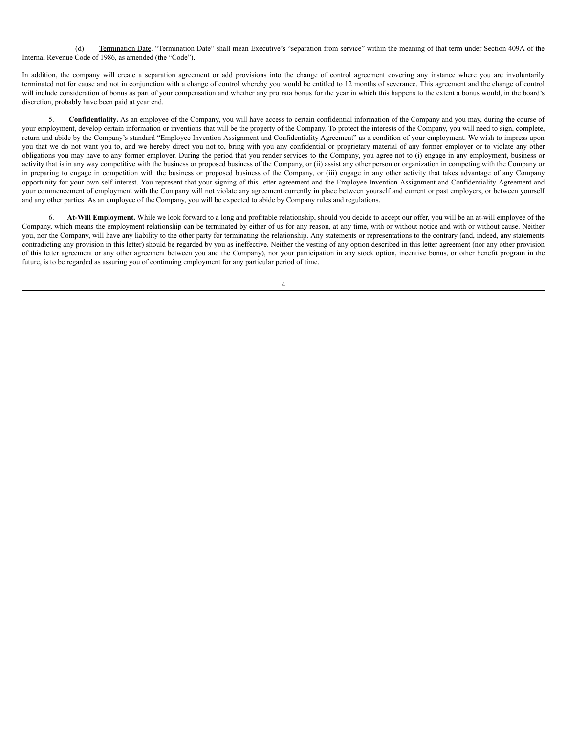(d) Termination Date. "Termination Date" shall mean Executive's "separation from service" within the meaning of that term under Section 409A of the Internal Revenue Code of 1986, as amended (the "Code").

In addition, the company will create a separation agreement or add provisions into the change of control agreement covering any instance where you are involuntarily terminated not for cause and not in conjunction with a change of control whereby you would be entitled to 12 months of severance. This agreement and the change of control will include consideration of bonus as part of your compensation and whether any pro rata bonus for the year in which this happens to the extent a bonus would, in the board's discretion, probably have been paid at year end.

5. **Confidentiality.** As an employee of the Company, you will have access to certain confidential information of the Company and you may, during the course of your employment, develop certain information or inventions that will be the property of the Company. To protect the interests of the Company, you will need to sign, complete, return and abide by the Company's standard "Employee Invention Assignment and Confidentiality Agreement" as a condition of your employment. We wish to impress upon you that we do not want you to, and we hereby direct you not to, bring with you any confidential or proprietary material of any former employer or to violate any other obligations you may have to any former employer. During the period that you render services to the Company, you agree not to (i) engage in any employment, business or activity that is in any way competitive with the business or proposed business of the Company, or (ii) assist any other person or organization in competing with the Company or in preparing to engage in competition with the business or proposed business of the Company, or (iii) engage in any other activity that takes advantage of any Company opportunity for your own self interest. You represent that your signing of this letter agreement and the Employee Invention Assignment and Confidentiality Agreement and your commencement of employment with the Company will not violate any agreement currently in place between yourself and current or past employers, or between yourself and any other parties. As an employee of the Company, you will be expected to abide by Company rules and regulations.

6. **At-Will Employment.** While we look forward to a long and profitable relationship, should you decide to accept our offer, you will be an at-will employee of the Company, which means the employment relationship can be terminated by either of us for any reason, at any time, with or without notice and with or without cause. Neither you, nor the Company, will have any liability to the other party for terminating the relationship. Any statements or representations to the contrary (and, indeed, any statements contradicting any provision in this letter) should be regarded by you as ineffective. Neither the vesting of any option described in this letter agreement (nor any other provision of this letter agreement or any other agreement between you and the Company), nor your participation in any stock option, incentive bonus, or other benefit program in the future, is to be regarded as assuring you of continuing employment for any particular period of time.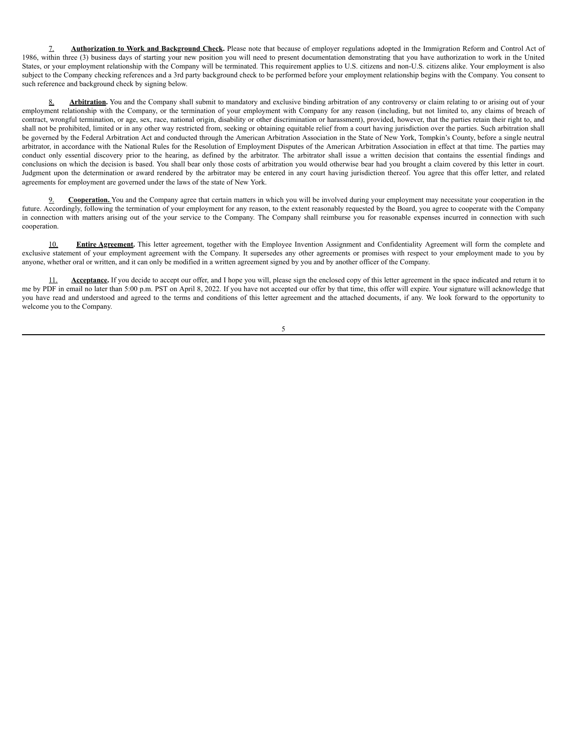7. **Authorization to Work and Background Check.** Please note that because of employer regulations adopted in the Immigration Reform and Control Act of 1986, within three (3) business days of starting your new position you will need to present documentation demonstrating that you have authorization to work in the United States, or your employment relationship with the Company will be terminated. This requirement applies to U.S. citizens and non-U.S. citizens alike. Your employment is also subject to the Company checking references and a 3rd party background check to be performed before your employment relationship begins with the Company. You consent to such reference and background check by signing below.

Arbitration. You and the Company shall submit to mandatory and exclusive binding arbitration of any controversy or claim relating to or arising out of your employment relationship with the Company, or the termination of your employment with Company for any reason (including, but not limited to, any claims of breach of contract, wrongful termination, or age, sex, race, national origin, disability or other discrimination or harassment), provided, however, that the parties retain their right to, and shall not be prohibited, limited or in any other way restricted from, seeking or obtaining equitable relief from a court having jurisdiction over the parties. Such arbitration shall be governed by the Federal Arbitration Act and conducted through the American Arbitration Association in the State of New York, Tompkin's County, before a single neutral arbitrator, in accordance with the National Rules for the Resolution of Employment Disputes of the American Arbitration Association in effect at that time. The parties may conduct only essential discovery prior to the hearing, as defined by the arbitrator. The arbitrator shall issue a written decision that contains the essential findings and conclusions on which the decision is based. You shall bear only those costs of arbitration you would otherwise bear had you brought a claim covered by this letter in court. Judgment upon the determination or award rendered by the arbitrator may be entered in any court having jurisdiction thereof. You agree that this offer letter, and related agreements for employment are governed under the laws of the state of New York.

Cooperation. You and the Company agree that certain matters in which you will be involved during your employment may necessitate your cooperation in the future. Accordingly, following the termination of your employment for any reason, to the extent reasonably requested by the Board, you agree to cooperate with the Company in connection with matters arising out of the your service to the Company. The Company shall reimburse you for reasonable expenses incurred in connection with such cooperation.

10. **Entire Agreement.** This letter agreement, together with the Employee Invention Assignment and Confidentiality Agreement will form the complete and exclusive statement of your employment agreement with the Company. It supersedes any other agreements or promises with respect to your employment made to you by anyone, whether oral or written, and it can only be modified in a written agreement signed by you and by another officer of the Company.

11. **Acceptance.** If you decide to accept our offer, and I hope you will, please sign the enclosed copy of this letter agreement in the space indicated and return it to me by PDF in email no later than 5:00 p.m. PST on April 8, 2022. If you have not accepted our offer by that time, this offer will expire. Your signature will acknowledge that you have read and understood and agreed to the terms and conditions of this letter agreement and the attached documents, if any. We look forward to the opportunity to welcome you to the Company.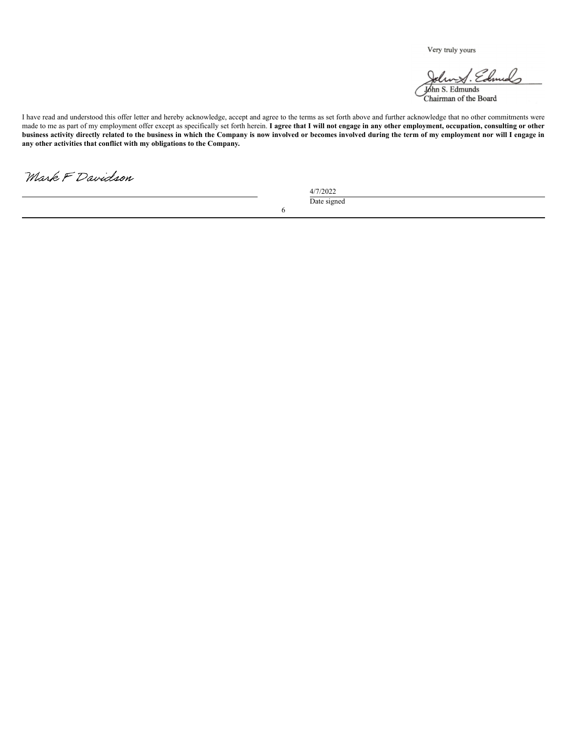Very truly yours

John L Glime Jóhn S. Edmunds

Chairman of the Board

I have read and understood this offer letter and hereby acknowledge, accept and agree to the terms as set forth above and further acknowledge that no other commitments were made to me as part of my employment offer except as specifically set forth herein. I agree that I will not engage in any other employment, occupation, consulting or other business activity directly related to the business in which the Company is now involved or becomes involved during the term of my employment nor will I engage in **any other activities that conflict with my obligations to the Company.**

Mark F Davidson

4/7/2022 Date signed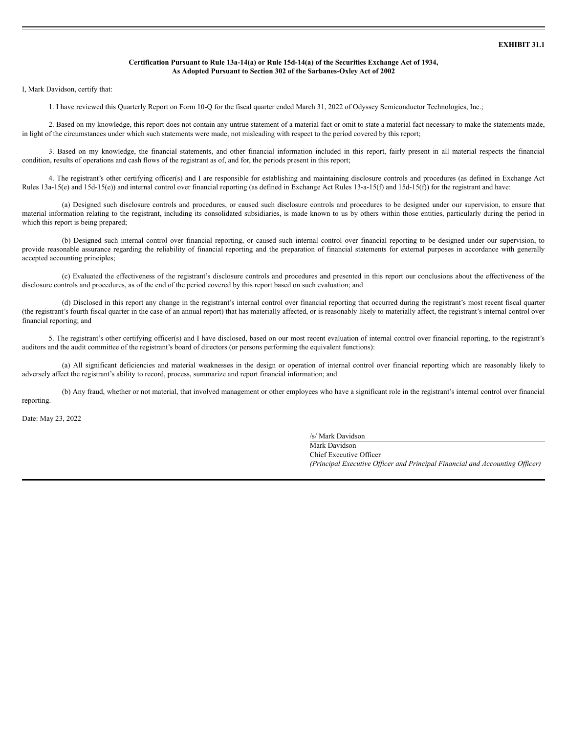## **Certification Pursuant to Rule 13a-14(a) or Rule 15d-14(a) of the Securities Exchange Act of 1934, As Adopted Pursuant to Section 302 of the Sarbanes-Oxley Act of 2002**

I, Mark Davidson, certify that:

1. I have reviewed this Quarterly Report on Form 10-Q for the fiscal quarter ended March 31, 2022 of Odyssey Semiconductor Technologies, Inc.;

2. Based on my knowledge, this report does not contain any untrue statement of a material fact or omit to state a material fact necessary to make the statements made, in light of the circumstances under which such statements were made, not misleading with respect to the period covered by this report;

3. Based on my knowledge, the financial statements, and other financial information included in this report, fairly present in all material respects the financial condition, results of operations and cash flows of the registrant as of, and for, the periods present in this report;

4. The registrant's other certifying officer(s) and I are responsible for establishing and maintaining disclosure controls and procedures (as defined in Exchange Act Rules 13a-15(e) and 15d-15(e)) and internal control over financial reporting (as defined in Exchange Act Rules 13-a-15(f) and 15d-15(f)) for the registrant and have:

(a) Designed such disclosure controls and procedures, or caused such disclosure controls and procedures to be designed under our supervision, to ensure that material information relating to the registrant, including its consolidated subsidiaries, is made known to us by others within those entities, particularly during the period in which this report is being prepared;

(b) Designed such internal control over financial reporting, or caused such internal control over financial reporting to be designed under our supervision, to provide reasonable assurance regarding the reliability of financial reporting and the preparation of financial statements for external purposes in accordance with generally accepted accounting principles;

(c) Evaluated the effectiveness of the registrant's disclosure controls and procedures and presented in this report our conclusions about the effectiveness of the disclosure controls and procedures, as of the end of the period covered by this report based on such evaluation; and

(d) Disclosed in this report any change in the registrant's internal control over financial reporting that occurred during the registrant's most recent fiscal quarter (the registrant's fourth fiscal quarter in the case of an annual report) that has materially affected, or is reasonably likely to materially affect, the registrant's internal control over financial reporting; and

5. The registrant's other certifying officer(s) and I have disclosed, based on our most recent evaluation of internal control over financial reporting, to the registrant's auditors and the audit committee of the registrant's board of directors (or persons performing the equivalent functions):

(a) All significant deficiencies and material weaknesses in the design or operation of internal control over financial reporting which are reasonably likely to adversely affect the registrant's ability to record, process, summarize and report financial information; and

(b) Any fraud, whether or not material, that involved management or other employees who have a significant role in the registrant's internal control over financial reporting.

Date: May 23, 2022

/s/ Mark Davidson

Mark Davidson Chief Executive Officer *(Principal Executive Of icer and Principal Financial and Accounting Of icer)*